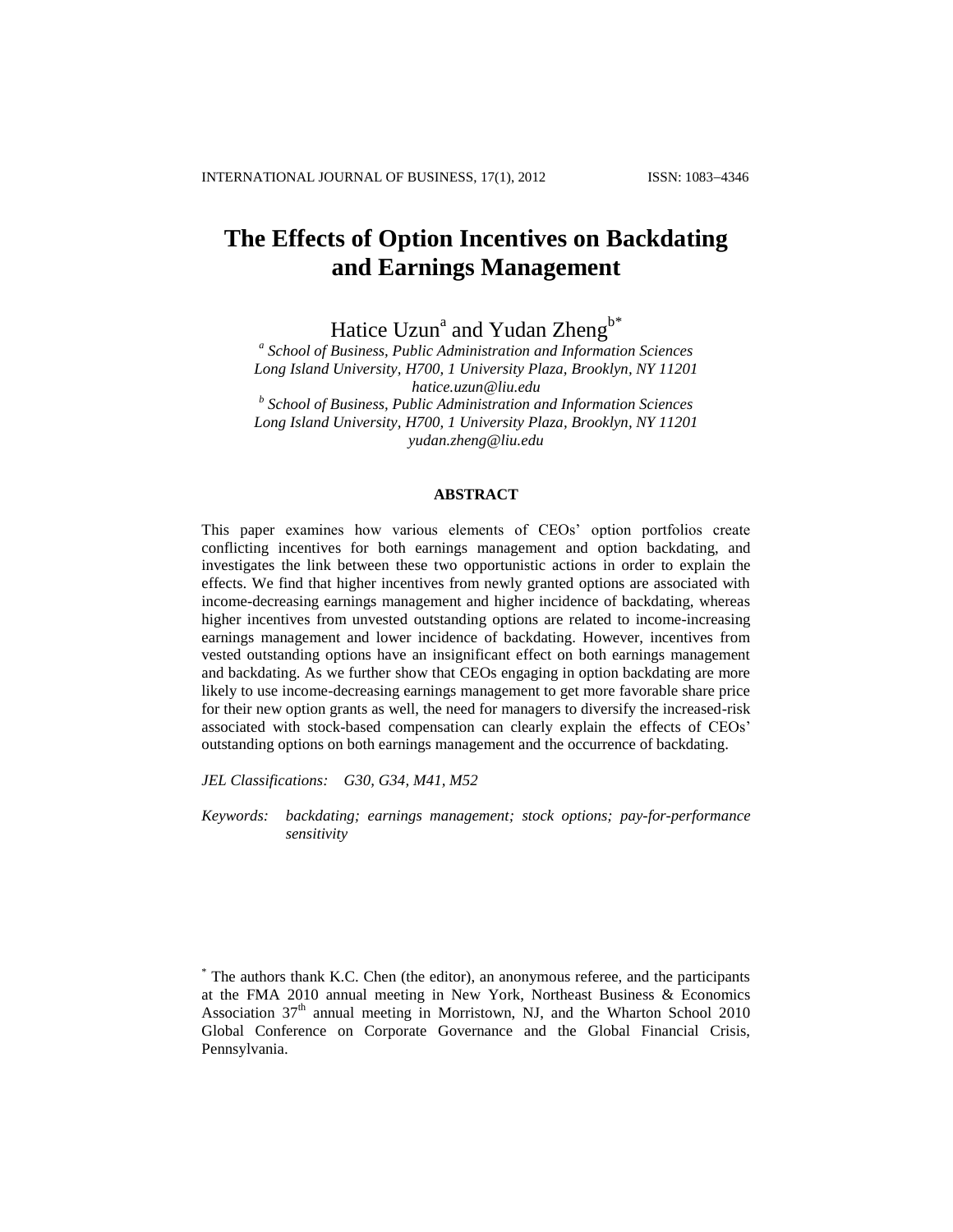# **The Effects of Option Incentives on Backdating and Earnings Management**

Hatice Uzun<sup>a</sup> and Yudan Zheng<sup>b\*</sup>

*a School of Business, Public Administration and Information Sciences Long Island University, H700, 1 University Plaza, Brooklyn, NY 11201 hatice.uzun@liu.edu b School of Business, Public Administration and Information Sciences Long Island University, H700, 1 University Plaza, Brooklyn, NY 11201 yudan.zheng@liu.edu*

#### **ABSTRACT**

This paper examines how various elements of CEOs' option portfolios create conflicting incentives for both earnings management and option backdating, and investigates the link between these two opportunistic actions in order to explain the effects. We find that higher incentives from newly granted options are associated with income-decreasing earnings management and higher incidence of backdating, whereas higher incentives from unvested outstanding options are related to income-increasing earnings management and lower incidence of backdating. However, incentives from vested outstanding options have an insignificant effect on both earnings management and backdating. As we further show that CEOs engaging in option backdating are more likely to use income-decreasing earnings management to get more favorable share price for their new option grants as well, the need for managers to diversify the increased-risk associated with stock-based compensation can clearly explain the effects of CEOs' outstanding options on both earnings management and the occurrence of backdating.

*JEL Classifications: G30, G34, M41, M52*

*Keywords: backdating; earnings management; stock options; pay-for-performance sensitivity*

<sup>\*</sup> The authors thank K.C. Chen (the editor), an anonymous referee, and the participants at the FMA 2010 annual meeting in New York, Northeast Business & Economics Association  $37<sup>th</sup>$  annual meeting in Morristown, NJ, and the Wharton School 2010 Global Conference on Corporate Governance and the Global Financial Crisis, Pennsylvania.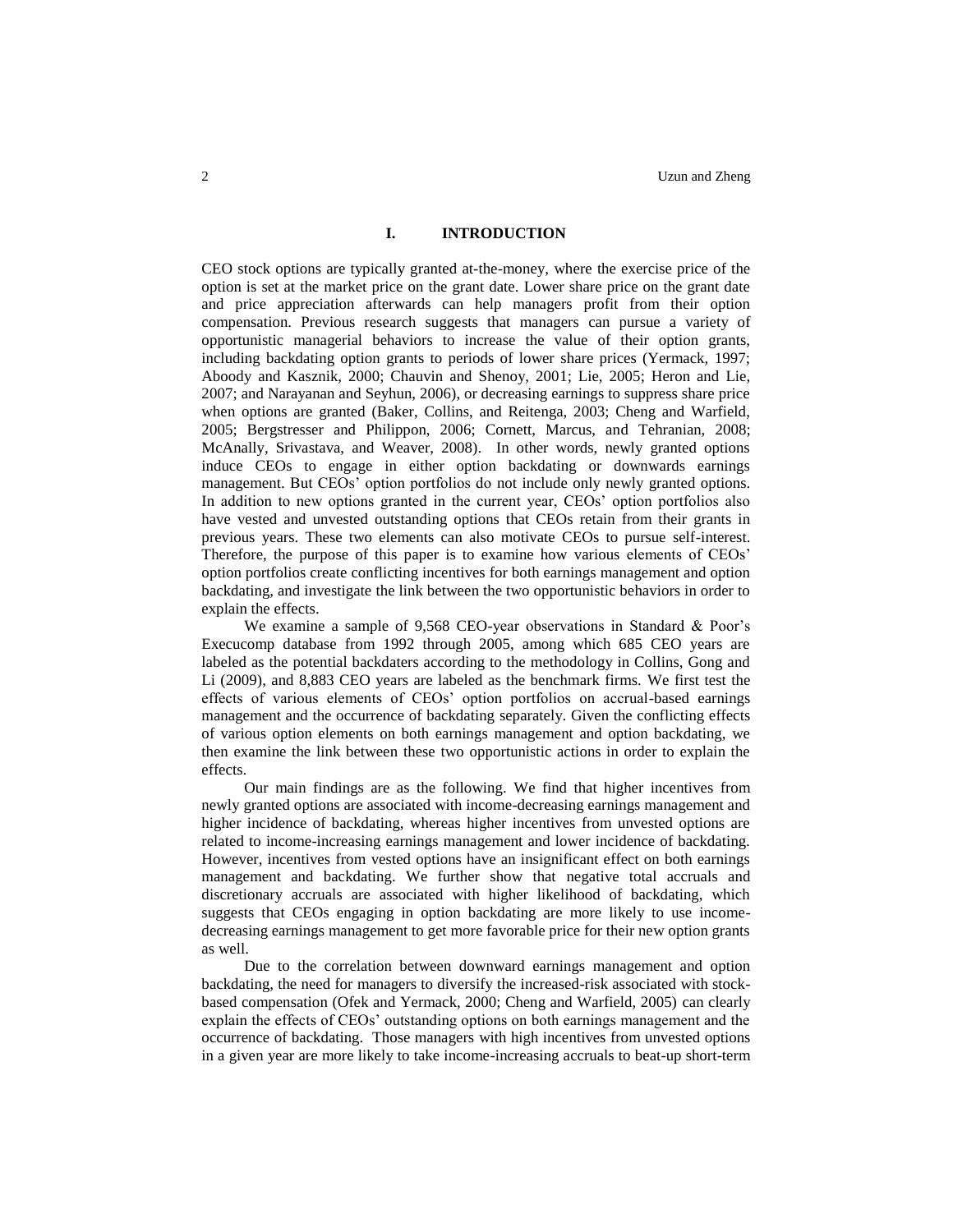# **I. INTRODUCTION**

CEO stock options are typically granted at-the-money, where the exercise price of the option is set at the market price on the grant date. Lower share price on the grant date and price appreciation afterwards can help managers profit from their option compensation. Previous research suggests that managers can pursue a variety of opportunistic managerial behaviors to increase the value of their option grants, including backdating option grants to periods of lower share prices (Yermack, 1997; Aboody and Kasznik, 2000; Chauvin and Shenoy, 2001; Lie, 2005; Heron and Lie, 2007; and Narayanan and Seyhun, 2006), or decreasing earnings to suppress share price when options are granted (Baker, Collins, and Reitenga, 2003; Cheng and Warfield, 2005; Bergstresser and Philippon, 2006; Cornett, Marcus, and Tehranian, 2008; McAnally, Srivastava, and Weaver, 2008). In other words, newly granted options induce CEOs to engage in either option backdating or downwards earnings management. But CEOs' option portfolios do not include only newly granted options. In addition to new options granted in the current year, CEOs' option portfolios also have vested and unvested outstanding options that CEOs retain from their grants in previous years. These two elements can also motivate CEOs to pursue self-interest. Therefore, the purpose of this paper is to examine how various elements of CEOs' option portfolios create conflicting incentives for both earnings management and option backdating, and investigate the link between the two opportunistic behaviors in order to explain the effects.

We examine a sample of 9,568 CEO-year observations in Standard & Poor's Execucomp database from 1992 through 2005, among which 685 CEO years are labeled as the potential backdaters according to the methodology in Collins, Gong and Li (2009), and 8,883 CEO years are labeled as the benchmark firms. We first test the effects of various elements of CEOs' option portfolios on accrual-based earnings management and the occurrence of backdating separately. Given the conflicting effects of various option elements on both earnings management and option backdating, we then examine the link between these two opportunistic actions in order to explain the effects.

Our main findings are as the following. We find that higher incentives from newly granted options are associated with income-decreasing earnings management and higher incidence of backdating, whereas higher incentives from unvested options are related to income-increasing earnings management and lower incidence of backdating. However, incentives from vested options have an insignificant effect on both earnings management and backdating. We further show that negative total accruals and discretionary accruals are associated with higher likelihood of backdating, which suggests that CEOs engaging in option backdating are more likely to use incomedecreasing earnings management to get more favorable price for their new option grants as well.

Due to the correlation between downward earnings management and option backdating, the need for managers to diversify the increased-risk associated with stockbased compensation (Ofek and Yermack, 2000; Cheng and Warfield, 2005) can clearly explain the effects of CEOs' outstanding options on both earnings management and the occurrence of backdating. Those managers with high incentives from unvested options in a given year are more likely to take income-increasing accruals to beat-up short-term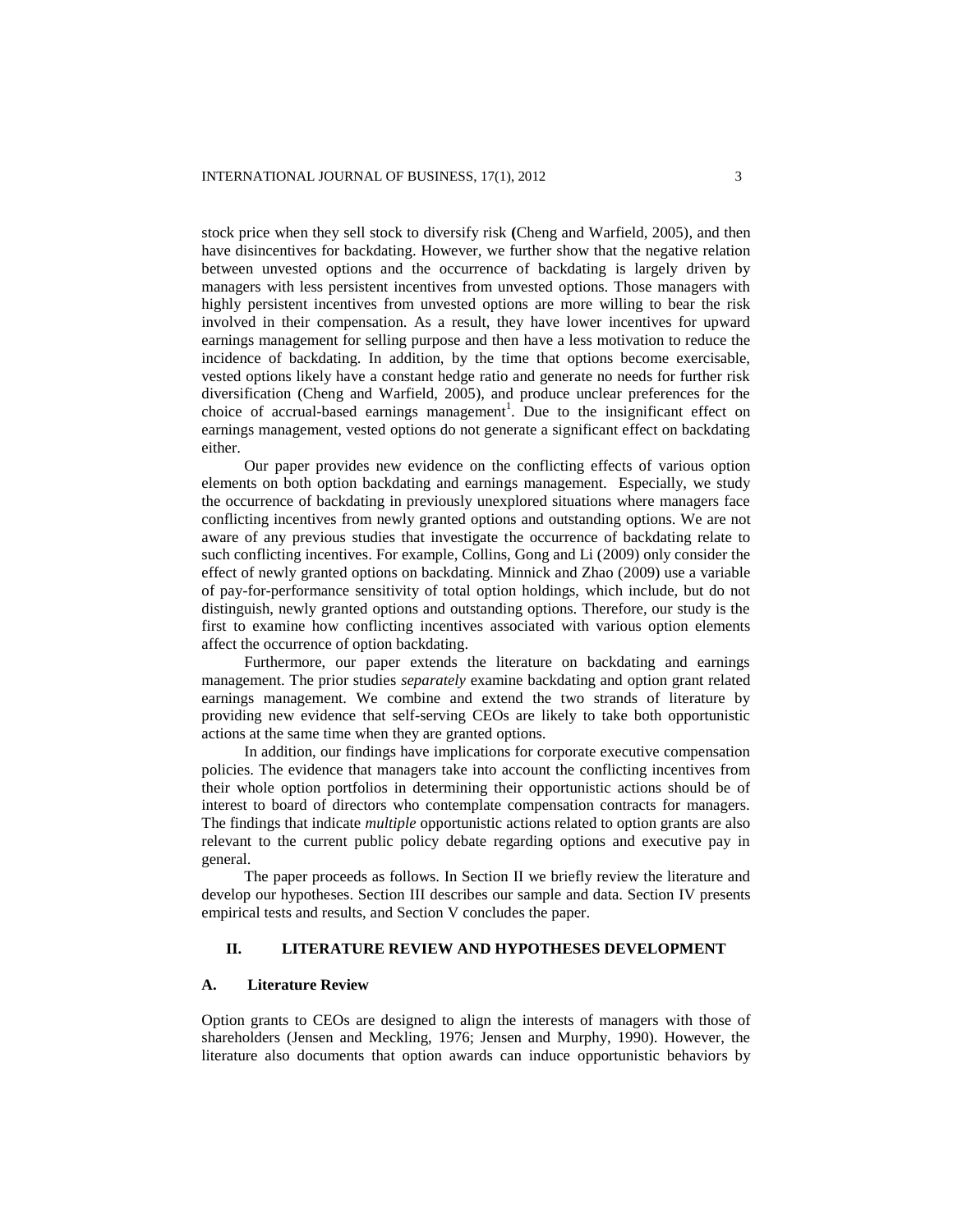stock price when they sell stock to diversify risk **(**Cheng and Warfield, 2005), and then have disincentives for backdating. However, we further show that the negative relation between unvested options and the occurrence of backdating is largely driven by managers with less persistent incentives from unvested options. Those managers with highly persistent incentives from unvested options are more willing to bear the risk involved in their compensation. As a result, they have lower incentives for upward earnings management for selling purpose and then have a less motivation to reduce the incidence of backdating. In addition, by the time that options become exercisable, vested options likely have a constant hedge ratio and generate no needs for further risk diversification (Cheng and Warfield, 2005), and produce unclear preferences for the choice of accrual-based earnings management<sup>1</sup>. Due to the insignificant effect on earnings management, vested options do not generate a significant effect on backdating either.

Our paper provides new evidence on the conflicting effects of various option elements on both option backdating and earnings management. Especially, we study the occurrence of backdating in previously unexplored situations where managers face conflicting incentives from newly granted options and outstanding options. We are not aware of any previous studies that investigate the occurrence of backdating relate to such conflicting incentives. For example, Collins, Gong and Li (2009) only consider the effect of newly granted options on backdating. Minnick and Zhao (2009) use a variable of pay-for-performance sensitivity of total option holdings, which include, but do not distinguish, newly granted options and outstanding options. Therefore, our study is the first to examine how conflicting incentives associated with various option elements affect the occurrence of option backdating.

Furthermore, our paper extends the literature on backdating and earnings management. The prior studies *separately* examine backdating and option grant related earnings management. We combine and extend the two strands of literature by providing new evidence that self-serving CEOs are likely to take both opportunistic actions at the same time when they are granted options.

In addition, our findings have implications for corporate executive compensation policies. The evidence that managers take into account the conflicting incentives from their whole option portfolios in determining their opportunistic actions should be of interest to board of directors who contemplate compensation contracts for managers. The findings that indicate *multiple* opportunistic actions related to option grants are also relevant to the current public policy debate regarding options and executive pay in general.

The paper proceeds as follows. In Section II we briefly review the literature and develop our hypotheses. Section III describes our sample and data. Section IV presents empirical tests and results, and Section V concludes the paper.

# **II. LITERATURE REVIEW AND HYPOTHESES DEVELOPMENT**

### **A. Literature Review**

Option grants to CEOs are designed to align the interests of managers with those of shareholders (Jensen and Meckling, 1976; Jensen and Murphy, 1990). However, the literature also documents that option awards can induce opportunistic behaviors by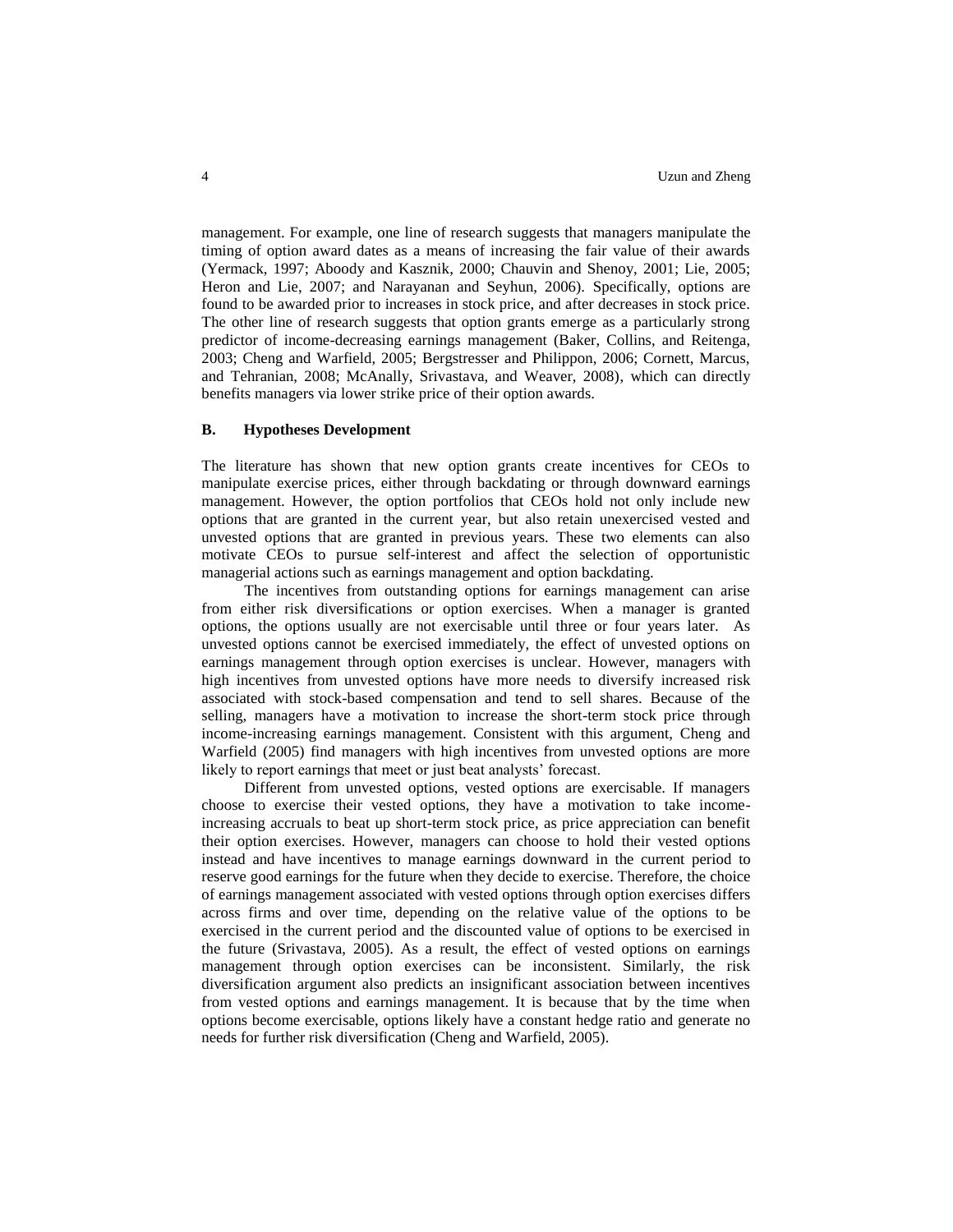management. For example, one line of research suggests that managers manipulate the timing of option award dates as a means of increasing the fair value of their awards (Yermack, 1997; Aboody and Kasznik, 2000; Chauvin and Shenoy, 2001; Lie, 2005; Heron and Lie, 2007; and Narayanan and Seyhun, 2006). Specifically, options are found to be awarded prior to increases in stock price, and after decreases in stock price. The other line of research suggests that option grants emerge as a particularly strong predictor of income-decreasing earnings management (Baker, Collins, and Reitenga, 2003; Cheng and Warfield, 2005; Bergstresser and Philippon, 2006; Cornett, Marcus, and Tehranian, 2008; McAnally, Srivastava, and Weaver, 2008), which can directly benefits managers via lower strike price of their option awards.

#### **B. Hypotheses Development**

The literature has shown that new option grants create incentives for CEOs to manipulate exercise prices, either through backdating or through downward earnings management. However, the option portfolios that CEOs hold not only include new options that are granted in the current year, but also retain unexercised vested and unvested options that are granted in previous years. These two elements can also motivate CEOs to pursue self-interest and affect the selection of opportunistic managerial actions such as earnings management and option backdating.

The incentives from outstanding options for earnings management can arise from either risk diversifications or option exercises. When a manager is granted options, the options usually are not exercisable until three or four years later. As unvested options cannot be exercised immediately, the effect of unvested options on earnings management through option exercises is unclear. However, managers with high incentives from unvested options have more needs to diversify increased risk associated with stock-based compensation and tend to sell shares. Because of the selling, managers have a motivation to increase the short-term stock price through income-increasing earnings management. Consistent with this argument, Cheng and Warfield (2005) find managers with high incentives from unvested options are more likely to report earnings that meet or just beat analysts' forecast.

Different from unvested options, vested options are exercisable. If managers choose to exercise their vested options, they have a motivation to take incomeincreasing accruals to beat up short-term stock price, as price appreciation can benefit their option exercises. However, managers can choose to hold their vested options instead and have incentives to manage earnings downward in the current period to reserve good earnings for the future when they decide to exercise. Therefore, the choice of earnings management associated with vested options through option exercises differs across firms and over time, depending on the relative value of the options to be exercised in the current period and the discounted value of options to be exercised in the future (Srivastava, 2005). As a result, the effect of vested options on earnings management through option exercises can be inconsistent. Similarly, the risk diversification argument also predicts an insignificant association between incentives from vested options and earnings management. It is because that by the time when options become exercisable, options likely have a constant hedge ratio and generate no needs for further risk diversification (Cheng and Warfield, 2005).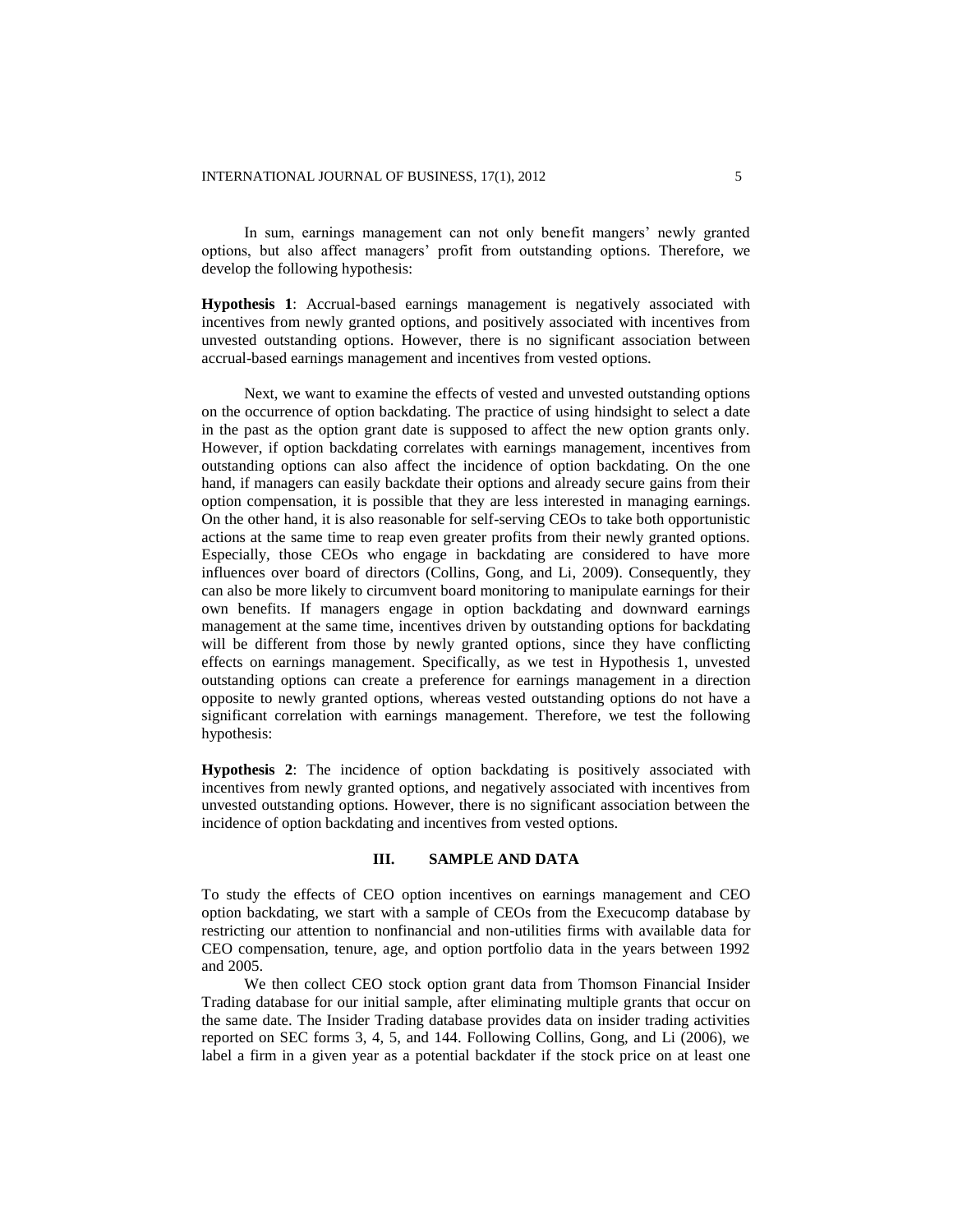In sum, earnings management can not only benefit mangers' newly granted options, but also affect managers' profit from outstanding options. Therefore, we develop the following hypothesis:

**Hypothesis 1**: Accrual-based earnings management is negatively associated with incentives from newly granted options, and positively associated with incentives from unvested outstanding options. However, there is no significant association between accrual-based earnings management and incentives from vested options.

Next, we want to examine the effects of vested and unvested outstanding options on the occurrence of option backdating. The practice of using hindsight to select a date in the past as the option grant date is supposed to affect the new option grants only. However, if option backdating correlates with earnings management, incentives from outstanding options can also affect the incidence of option backdating. On the one hand, if managers can easily backdate their options and already secure gains from their option compensation, it is possible that they are less interested in managing earnings. On the other hand, it is also reasonable for self-serving CEOs to take both opportunistic actions at the same time to reap even greater profits from their newly granted options. Especially, those CEOs who engage in backdating are considered to have more influences over board of directors (Collins, Gong, and Li, 2009). Consequently, they can also be more likely to circumvent board monitoring to manipulate earnings for their own benefits. If managers engage in option backdating and downward earnings management at the same time, incentives driven by outstanding options for backdating will be different from those by newly granted options, since they have conflicting effects on earnings management. Specifically, as we test in Hypothesis 1, unvested outstanding options can create a preference for earnings management in a direction opposite to newly granted options, whereas vested outstanding options do not have a significant correlation with earnings management. Therefore, we test the following hypothesis:

**Hypothesis 2**: The incidence of option backdating is positively associated with incentives from newly granted options, and negatively associated with incentives from unvested outstanding options. However, there is no significant association between the incidence of option backdating and incentives from vested options.

#### **III. SAMPLE AND DATA**

To study the effects of CEO option incentives on earnings management and CEO option backdating, we start with a sample of CEOs from the Execucomp database by restricting our attention to nonfinancial and non-utilities firms with available data for CEO compensation, tenure, age, and option portfolio data in the years between 1992 and 2005.

We then collect CEO stock option grant data from Thomson Financial Insider Trading database for our initial sample, after eliminating multiple grants that occur on the same date. The Insider Trading database provides data on insider trading activities reported on SEC forms 3, 4, 5, and 144. Following Collins, Gong, and Li (2006), we label a firm in a given year as a potential backdater if the stock price on at least one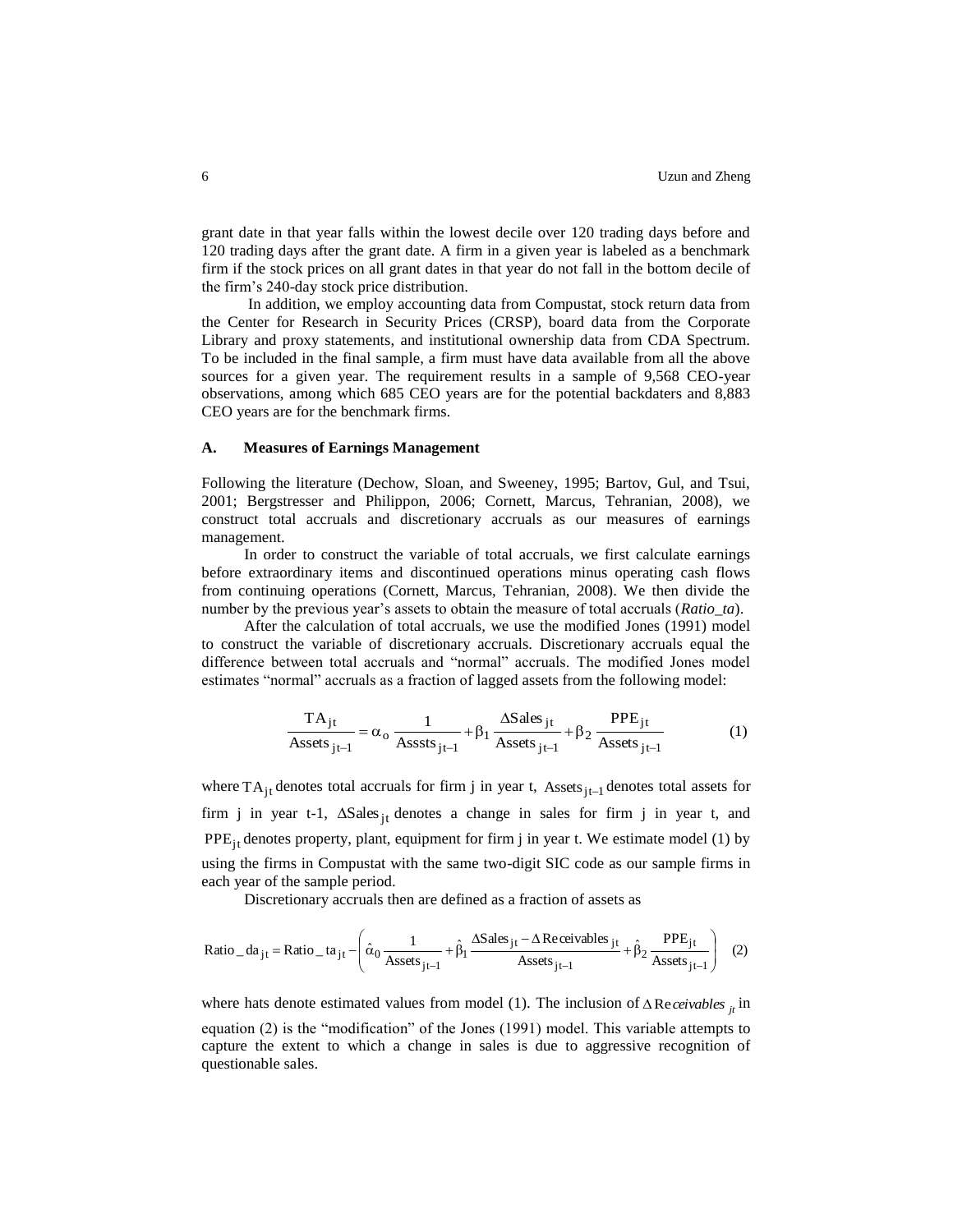grant date in that year falls within the lowest decile over 120 trading days before and 120 trading days after the grant date. A firm in a given year is labeled as a benchmark firm if the stock prices on all grant dates in that year do not fall in the bottom decile of the firm's 240-day stock price distribution.

In addition, we employ accounting data from Compustat, stock return data from the Center for Research in Security Prices (CRSP), board data from the Corporate Library and proxy statements, and institutional ownership data from CDA Spectrum. To be included in the final sample, a firm must have data available from all the above sources for a given year. The requirement results in a sample of 9,568 CEO-year observations, among which 685 CEO years are for the potential backdaters and 8,883 CEO years are for the benchmark firms.

#### **A. Measures of Earnings Management**

Following the literature (Dechow, Sloan, and Sweeney, 1995; Bartov, Gul, and Tsui, 2001; Bergstresser and Philippon, 2006; Cornett, Marcus, Tehranian, 2008), we construct total accruals and discretionary accruals as our measures of earnings management.

In order to construct the variable of total accruals, we first calculate earnings before extraordinary items and discontinued operations minus operating cash flows from continuing operations (Cornett, Marcus, Tehranian, 2008). We then divide the number by the previous year's assets to obtain the measure of total accruals (*Ratio\_ta*).

After the calculation of total accruals, we use the modified Jones (1991) model to construct the variable of discretionary accruals. Discretionary accruals equal the difference between total accruals and "normal" accruals. The modified Jones model

estimates "normal" accruals as a fraction of lagged assets from the following model:  
\n
$$
\frac{TA_{jt}}{A \text{ssets}_{jt-1}} = \alpha_o \frac{1}{A \text{ssets}_{jt-1}} + \beta_1 \frac{\Delta S \text{ales}_{jt}}{A \text{ssets}_{jt-1}} + \beta_2 \frac{\text{PPE}_{jt}}{A \text{ssets}_{jt-1}}
$$
\n(1)

where  $TA_{jt}$  denotes total accruals for firm j in year t, Assets $_{jt-1}$  denotes total assets for firm j in year t-1,  $\Delta Sales_{jt}$  denotes a change in sales for firm j in year t, and PPE<sub>jt</sub> denotes property, plant, equipment for firm j in year t. We estimate model (1) by using the firms in Compustat with the same two-digit SIC code as our sample firms in each year of the sample period.

Discretionary accruals then are defined as a fraction of assets as  
\nRatio<sub>-</sub>da<sub>jt</sub> = Ratio<sub>-</sub>ta<sub>jt</sub> - 
$$
\left(\hat{\alpha}_0 \frac{1}{\text{Assets}_{jt-1}} + \hat{\beta}_1 \frac{\Delta \text{Sales}_{jt} - \Delta \text{Receivables}_{jt}}{\text{Assets}_{jt-1}} + \hat{\beta}_2 \frac{\text{PPE}_{jt}}{\text{Assets}_{jt-1}}\right)
$$
 (2)

where hats denote estimated values from model (1). The inclusion of  $\triangle$  Re*ceivables*  $_{jt}$  in equation (2) is the "modification" of the Jones (1991) model. This variable attempts to capture the extent to which a change in sales is due to aggressive recognition of questionable sales.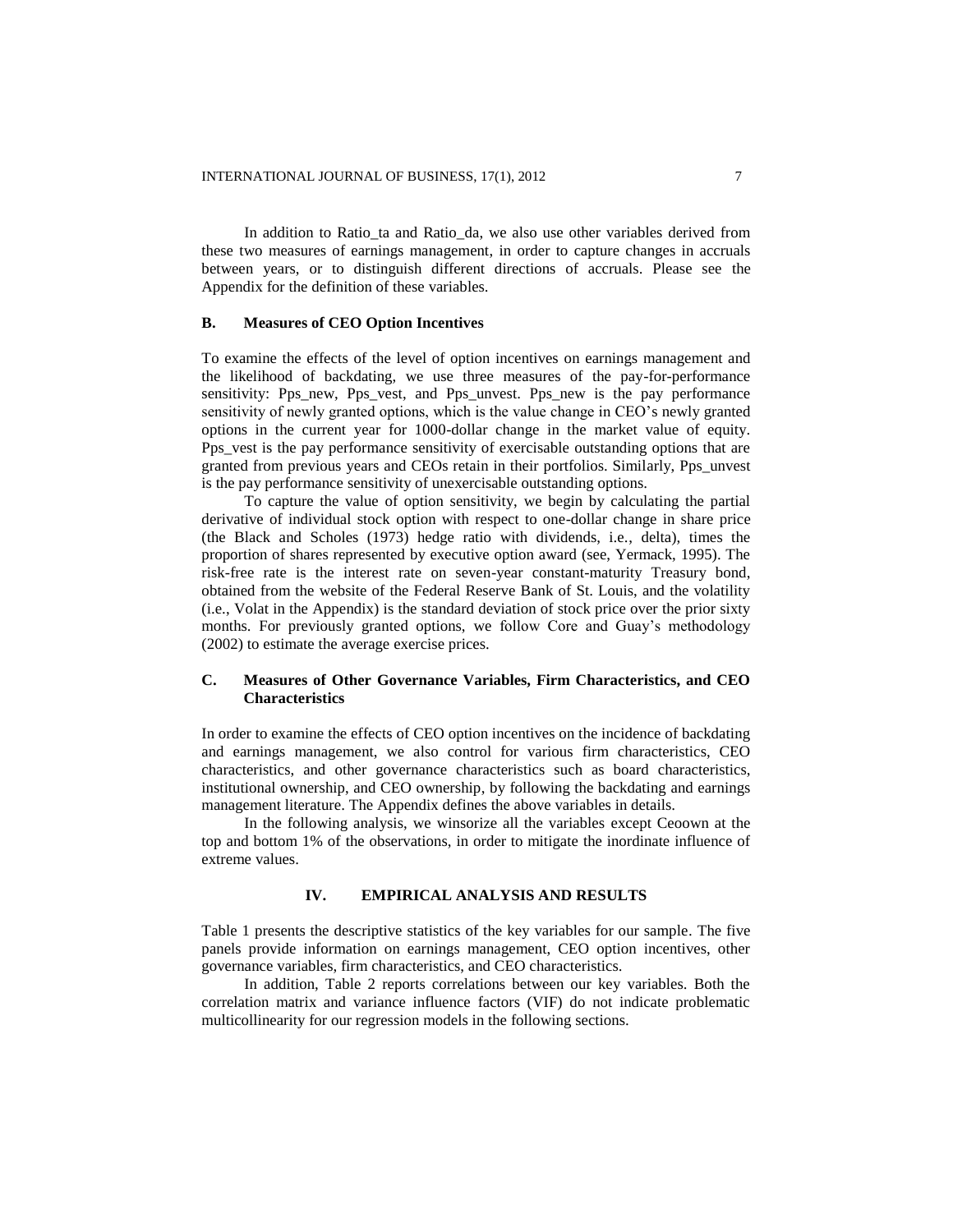In addition to Ratio ta and Ratio da, we also use other variables derived from these two measures of earnings management, in order to capture changes in accruals between years, or to distinguish different directions of accruals. Please see the Appendix for the definition of these variables.

#### **B. Measures of CEO Option Incentives**

To examine the effects of the level of option incentives on earnings management and the likelihood of backdating, we use three measures of the pay-for-performance sensitivity: Pps new, Pps vest, and Pps unvest. Pps new is the pay performance sensitivity of newly granted options, which is the value change in CEO's newly granted options in the current year for 1000-dollar change in the market value of equity. Pps yest is the pay performance sensitivity of exercisable outstanding options that are granted from previous years and CEOs retain in their portfolios. Similarly, Pps\_unvest is the pay performance sensitivity of unexercisable outstanding options.

To capture the value of option sensitivity, we begin by calculating the partial derivative of individual stock option with respect to one-dollar change in share price (the Black and Scholes (1973) hedge ratio with dividends, i.e., delta), times the proportion of shares represented by executive option award (see, Yermack, 1995). The risk-free rate is the interest rate on seven-year constant-maturity Treasury bond, obtained from the website of the Federal Reserve Bank of St. Louis, and the volatility (i.e., Volat in the Appendix) is the standard deviation of stock price over the prior sixty months. For previously granted options, we follow Core and Guay's methodology (2002) to estimate the average exercise prices.

# **C. Measures of Other Governance Variables, Firm Characteristics, and CEO Characteristics**

In order to examine the effects of CEO option incentives on the incidence of backdating and earnings management, we also control for various firm characteristics, CEO characteristics, and other governance characteristics such as board characteristics, institutional ownership, and CEO ownership, by following the backdating and earnings management literature. The Appendix defines the above variables in details.

In the following analysis, we winsorize all the variables except Ceoown at the top and bottom 1% of the observations, in order to mitigate the inordinate influence of extreme values.

# **IV. EMPIRICAL ANALYSIS AND RESULTS**

Table 1 presents the descriptive statistics of the key variables for our sample. The five panels provide information on earnings management, CEO option incentives, other governance variables, firm characteristics, and CEO characteristics.

In addition, Table 2 reports correlations between our key variables. Both the correlation matrix and variance influence factors (VIF) do not indicate problematic multicollinearity for our regression models in the following sections.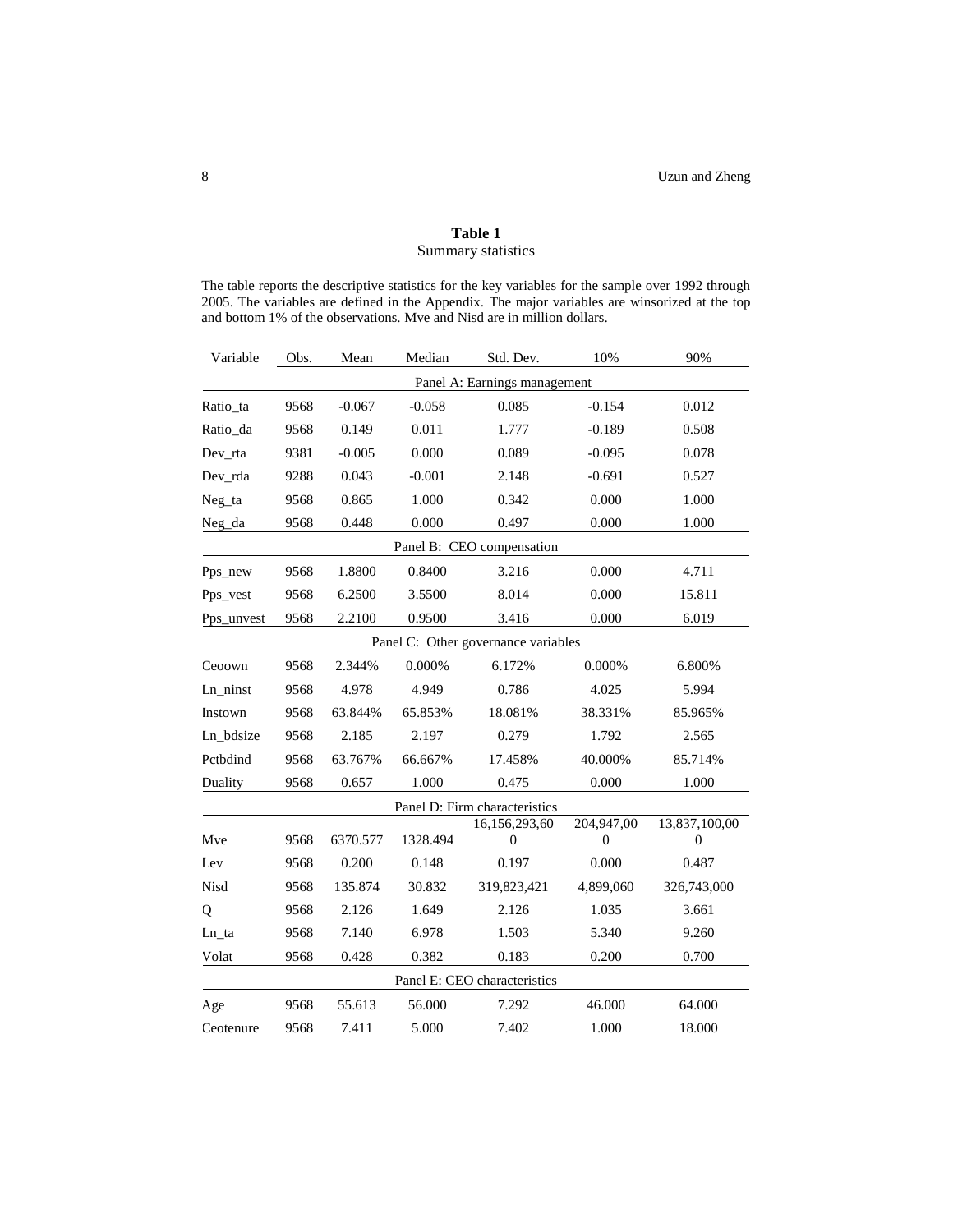# **Table 1**  Summary statistics

The table reports the descriptive statistics for the key variables for the sample over 1992 through 2005. The variables are defined in the Appendix. The major variables are winsorized at the top and bottom 1% of the observations. Mve and Nisd are in million dollars.

| Variable   | Obs. | Mean     | Median   | Std. Dev.                           | 10%             | 90%                |  |
|------------|------|----------|----------|-------------------------------------|-----------------|--------------------|--|
|            |      |          |          | Panel A: Earnings management        |                 |                    |  |
| Ratio_ta   | 9568 | $-0.067$ | $-0.058$ | 0.085                               | $-0.154$        | 0.012              |  |
| Ratio_da   | 9568 | 0.149    | 0.011    | 1.777                               | $-0.189$        | 0.508              |  |
| Dev_rta    | 9381 | $-0.005$ | 0.000    | 0.089                               | $-0.095$        | 0.078              |  |
| Dev_rda    | 9288 | 0.043    | $-0.001$ | 2.148                               | $-0.691$        | 0.527              |  |
| Neg_ta     | 9568 | 0.865    | 1.000    | 0.000                               | 1.000           |                    |  |
| Neg_da     | 9568 | 0.448    | 0.000    | 0.497                               | 0.000           | 1.000              |  |
|            |      |          |          | Panel B: CEO compensation           |                 |                    |  |
| Pps_new    | 9568 | 1.8800   | 0.8400   | 3.216                               | 0.000           | 4.711              |  |
| Pps_vest   | 9568 | 6.2500   | 3.5500   | 8.014                               | 0.000           | 15.811             |  |
| Pps_unvest | 9568 | 2.2100   | 0.9500   | 3.416                               | 0.000           | 6.019              |  |
|            |      |          |          | Panel C: Other governance variables |                 |                    |  |
| Ceoown     | 9568 | 2.344%   | 0.000%   | 6.172%                              | 0.000%          | 6.800%             |  |
| Ln_ninst   | 9568 | 4.978    | 4.949    | 0.786                               | 4.025           | 5.994              |  |
| Instown    | 9568 | 63.844%  | 65.853%  | 18.081%                             | 38.331%         | 85.965%            |  |
| Ln_bdsize  | 9568 | 2.185    | 2.197    | 0.279                               | 1.792           | 2.565              |  |
| Pctbdind   | 9568 | 63.767%  | 66.667%  | 17.458%                             | 40.000%         | 85.714%            |  |
| Duality    | 9568 | 0.657    | 1.000    | 0.475                               | 0.000           | 1.000              |  |
|            |      |          |          | Panel D: Firm characteristics       |                 |                    |  |
| Mve        | 9568 | 6370.577 | 1328.494 | 16,156,293,60<br>$\overline{0}$     | 204,947,00<br>0 | 13,837,100,00<br>0 |  |
| Lev        | 9568 | 0.200    | 0.148    | 0.197                               | 0.000           | 0.487              |  |
| Nisd       | 9568 | 135.874  | 30.832   | 319,823,421                         | 4,899,060       | 326,743,000        |  |
| Q          | 9568 | 2.126    | 1.649    | 2.126                               | 1.035           | 3.661              |  |
| Ln_ta      | 9568 | 7.140    | 6.978    | 1.503                               | 5.340           | 9.260              |  |
| Volat      | 9568 | 0.428    | 0.382    | 0.183                               | 0.200           | 0.700              |  |
|            |      |          |          | Panel E: CEO characteristics        |                 |                    |  |
| Age        | 9568 | 55.613   | 56.000   | 7.292                               | 46.000          | 64.000             |  |
| Ceotenure  | 9568 | 7.411    | 5.000    | 7.402                               | 1.000           | 18.000             |  |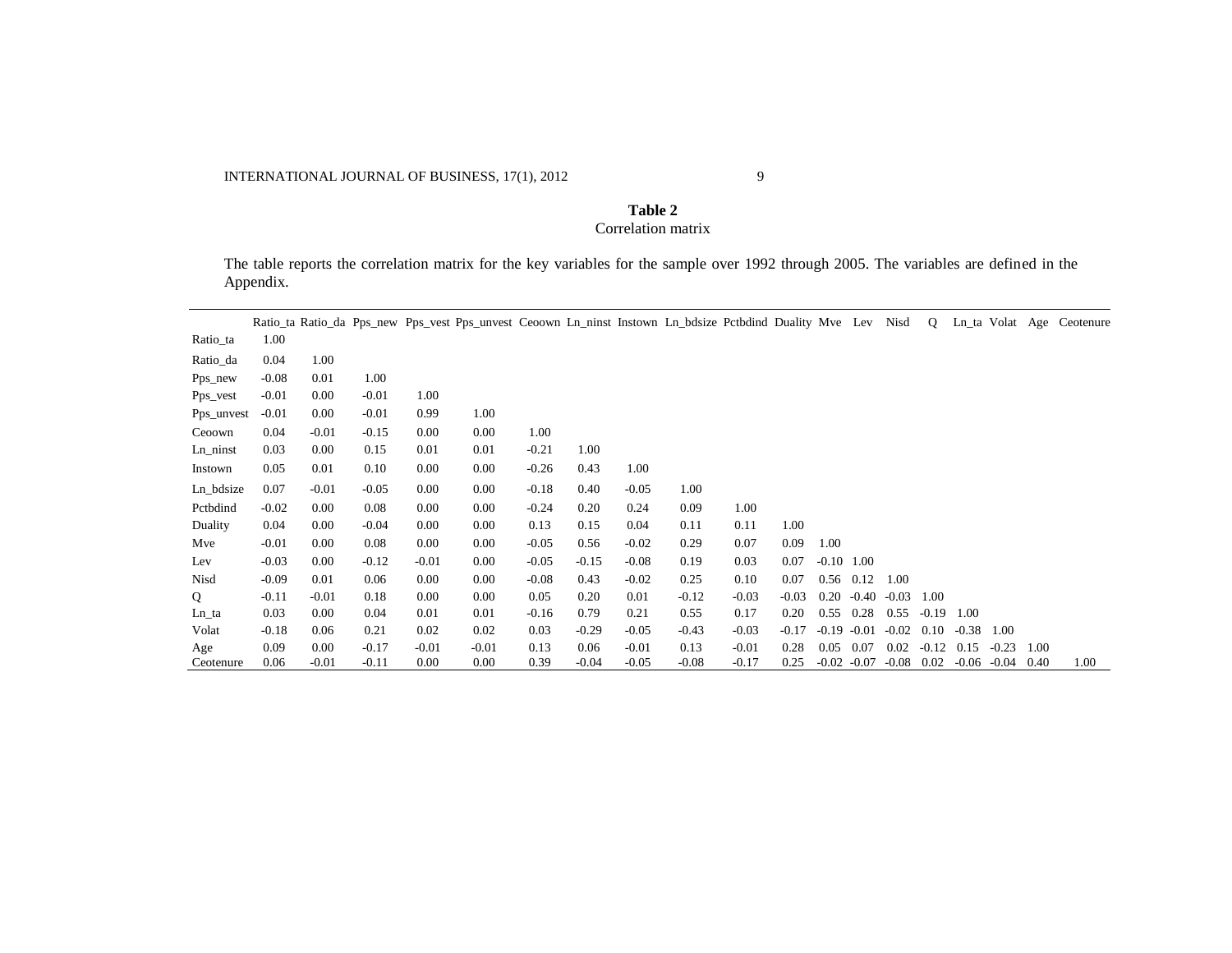# **Table 2** Correlation matrix

The table reports the correlation matrix for the key variables for the sample over 1992 through 2005. The variables are defined in the Appendix.

|             |         |         |         |          | Ratio ta Ratio da Pps new Pps vest Pps unvest Ceoown Ln ninst Instown Ln bdsize Pctbdind Duality Mve Lev Nisd |         |         |         |         |         |         |                |         |         | $\mathbf Q$ | Ln_ta Volat Age |         |      | Ceotenure |
|-------------|---------|---------|---------|----------|---------------------------------------------------------------------------------------------------------------|---------|---------|---------|---------|---------|---------|----------------|---------|---------|-------------|-----------------|---------|------|-----------|
| Ratio_ta    | 1.00    |         |         |          |                                                                                                               |         |         |         |         |         |         |                |         |         |             |                 |         |      |           |
| Ratio_da    | 0.04    | 1.00    |         |          |                                                                                                               |         |         |         |         |         |         |                |         |         |             |                 |         |      |           |
| Pps_new     | $-0.08$ | 0.01    | 1.00    |          |                                                                                                               |         |         |         |         |         |         |                |         |         |             |                 |         |      |           |
| Pps_vest    | $-0.01$ | 0.00    | $-0.01$ | 1.00     |                                                                                                               |         |         |         |         |         |         |                |         |         |             |                 |         |      |           |
| Pps_unvest  | $-0.01$ | 0.00    | $-0.01$ | 0.99     | 1.00                                                                                                          |         |         |         |         |         |         |                |         |         |             |                 |         |      |           |
| Ceoown      | 0.04    | $-0.01$ | $-0.15$ | 0.00     | 0.00                                                                                                          | 1.00    |         |         |         |         |         |                |         |         |             |                 |         |      |           |
| $Ln\_ninst$ | 0.03    | 0.00    | 0.15    | 0.01     | 0.01                                                                                                          | $-0.21$ | 1.00    |         |         |         |         |                |         |         |             |                 |         |      |           |
| Instown     | 0.05    | 0.01    | 0.10    | 0.00     | 0.00                                                                                                          | $-0.26$ | 0.43    | 1.00    |         |         |         |                |         |         |             |                 |         |      |           |
| Ln_bdsize   | 0.07    | $-0.01$ | $-0.05$ | 0.00     | 0.00                                                                                                          | $-0.18$ | 0.40    | $-0.05$ | 1.00    |         |         |                |         |         |             |                 |         |      |           |
| Pctbdind    | $-0.02$ | 0.00    | 0.08    | 0.00     | 0.00                                                                                                          | $-0.24$ | 0.20    | 0.24    | 0.09    | 1.00    |         |                |         |         |             |                 |         |      |           |
| Duality     | 0.04    | 0.00    | $-0.04$ | $0.00\,$ | 0.00                                                                                                          | 0.13    | 0.15    | 0.04    | 0.11    | 0.11    | 1.00    |                |         |         |             |                 |         |      |           |
| Mve         | $-0.01$ | 0.00    | 0.08    | $0.00\,$ | 0.00                                                                                                          | $-0.05$ | 0.56    | $-0.02$ | 0.29    | 0.07    | 0.09    | 1.00           |         |         |             |                 |         |      |           |
| Lev         | $-0.03$ | 0.00    | $-0.12$ | $-0.01$  | 0.00                                                                                                          | $-0.05$ | $-0.15$ | $-0.08$ | 0.19    | 0.03    | 0.07    | $-0.10$ 1.00   |         |         |             |                 |         |      |           |
| Nisd        | $-0.09$ | 0.01    | 0.06    | $0.00\,$ | 0.00                                                                                                          | $-0.08$ | 0.43    | $-0.02$ | 0.25    | 0.10    | 0.07    | $0.56$ 0.12    |         | 1.00    |             |                 |         |      |           |
| Q           | $-0.11$ | $-0.01$ | 0.18    | $0.00\,$ | 0.00                                                                                                          | 0.05    | 0.20    | 0.01    | $-0.12$ | $-0.03$ | $-0.03$ | 0.20           | $-0.40$ | $-0.03$ | 1.00        |                 |         |      |           |
| Ln_ta       | 0.03    | 0.00    | 0.04    | 0.01     | 0.01                                                                                                          | $-0.16$ | 0.79    | 0.21    | 0.55    | 0.17    | 0.20    | 0.55           | 0.28    | 0.55    | $-0.19$     | 1.00            |         |      |           |
| Volat       | $-0.18$ | 0.06    | 0.21    | 0.02     | 0.02                                                                                                          | 0.03    | $-0.29$ | $-0.05$ | $-0.43$ | $-0.03$ | $-0.17$ | $-0.19$        | $-0.01$ | $-0.02$ | 0.10        | $-0.38$         | 1.00    |      |           |
| Age         | 0.09    | 0.00    | $-0.17$ | $-0.01$  | $-0.01$                                                                                                       | 0.13    | 0.06    | $-0.01$ | 0.13    | $-0.01$ | 0.28    | 0.05           | 0.07    | 0.02    | $-0.12$     | 0.15            | $-0.23$ | 1.00 |           |
| Ceotenure   | 0.06    | -0.01   | $-0.11$ | 0.00     | 0.00                                                                                                          | 0.39    | $-0.04$ | -0.05   | $-0.08$ | $-0.17$ | 0.25    | $-0.02 - 0.07$ |         | $-0.08$ | 0.02        | $-0.06$         | $-0.04$ | 0.40 | 1.00      |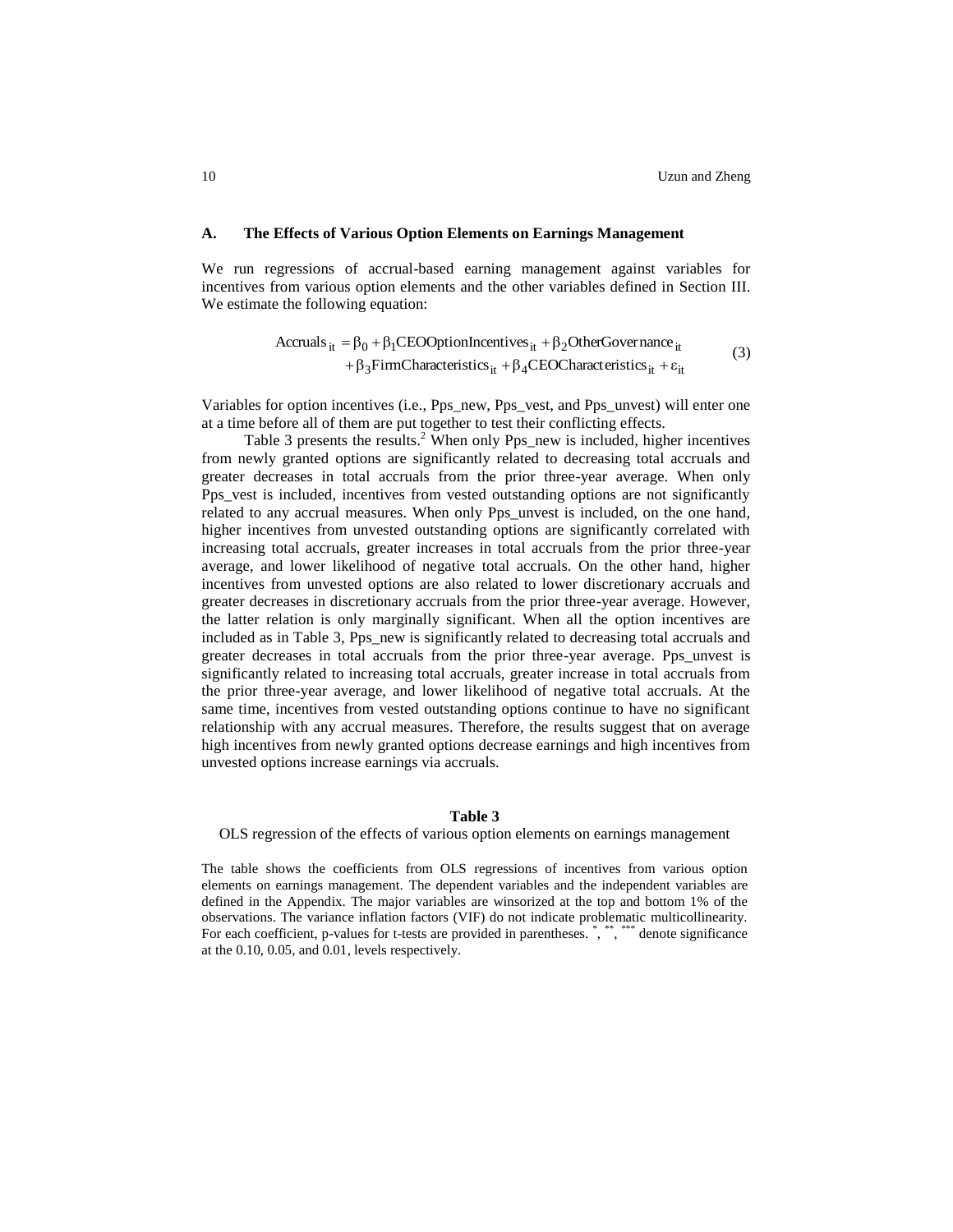#### **A. The Effects of Various Option Elements on Earnings Management**

We run regressions of accrual-based earning management against variables for incentives from various option elements and the other variables defined in Section III. We estimate the following equation:

$$
Accruals_{it} = \beta_0 + \beta_1 CEOOptionIncentives_{it} + \beta_2 OtherGovernment_{it} + \beta_3 FirmCharacteristics_{it} + \beta_4 CEOCharacteristics_{it} + \epsilon_{it}
$$
 (3)

Variables for option incentives (i.e., Pps\_new, Pps\_vest, and Pps\_unvest) will enter one at a time before all of them are put together to test their conflicting effects.

Table 3 presents the results.<sup>2</sup> When only Pps\_new is included, higher incentives from newly granted options are significantly related to decreasing total accruals and greater decreases in total accruals from the prior three-year average. When only Pps\_vest is included, incentives from vested outstanding options are not significantly related to any accrual measures. When only Pps\_unvest is included, on the one hand, higher incentives from unvested outstanding options are significantly correlated with increasing total accruals, greater increases in total accruals from the prior three-year average, and lower likelihood of negative total accruals. On the other hand, higher incentives from unvested options are also related to lower discretionary accruals and greater decreases in discretionary accruals from the prior three-year average. However, the latter relation is only marginally significant. When all the option incentives are included as in Table 3, Pps\_new is significantly related to decreasing total accruals and greater decreases in total accruals from the prior three-year average. Pps\_unvest is significantly related to increasing total accruals, greater increase in total accruals from the prior three-year average, and lower likelihood of negative total accruals. At the same time, incentives from vested outstanding options continue to have no significant relationship with any accrual measures. Therefore, the results suggest that on average high incentives from newly granted options decrease earnings and high incentives from unvested options increase earnings via accruals.

#### **Table 3**

OLS regression of the effects of various option elements on earnings management

The table shows the coefficients from OLS regressions of incentives from various option elements on earnings management. The dependent variables and the independent variables are defined in the Appendix. The major variables are winsorized at the top and bottom 1% of the observations. The variance inflation factors (VIF) do not indicate problematic multicollinearity. For each coefficient, p-values for t-tests are provided in parentheses. \*, \*, \*, \*\*\*\*\* denote significance at the 0.10, 0.05, and 0.01, levels respectively.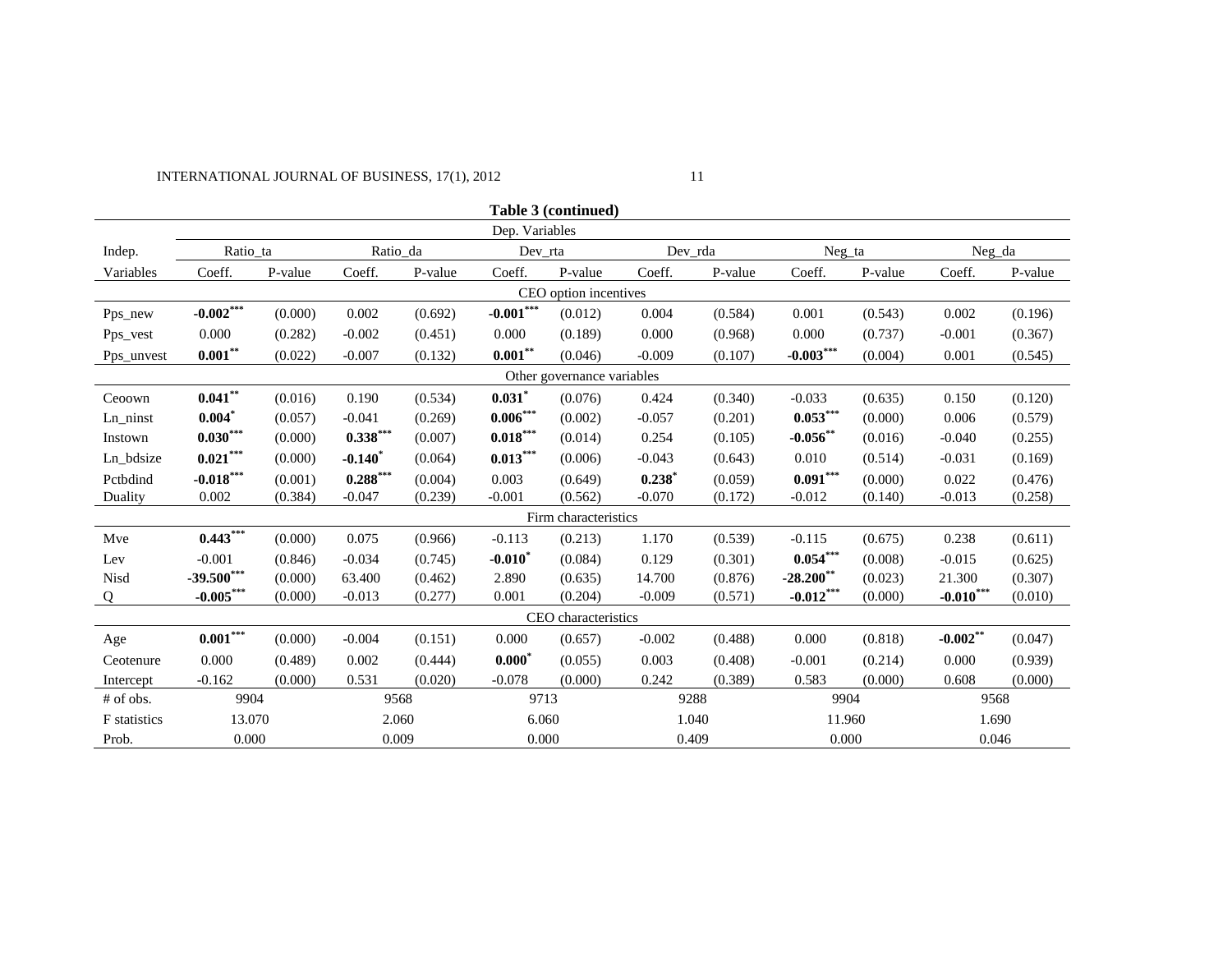# INTERNATIONAL JOURNAL OF BUSINESS, 17(1), 2012 11

|                            |                |         |            |         |             | Table 3 (continued)   |          |         |              |         |             |         |
|----------------------------|----------------|---------|------------|---------|-------------|-----------------------|----------|---------|--------------|---------|-------------|---------|
|                            | Dep. Variables |         |            |         |             |                       |          |         |              |         |             |         |
| Indep.                     | Ratio_ta       |         | Ratio_da   |         |             | Dev_rta               |          | Dev_rda | Neg_ta       |         | Neg_da      |         |
| Variables                  | Coeff.         | P-value | Coeff.     | P-value | Coeff.      | P-value               | Coeff.   | P-value | Coeff.       | P-value | Coeff.      | P-value |
|                            |                |         |            |         |             | CEO option incentives |          |         |              |         |             |         |
| Pps_new                    | $-0.002***$    | (0.000) | 0.002      | (0.692) | $-0.001***$ | (0.012)               | 0.004    | (0.584) | 0.001        | (0.543) | 0.002       | (0.196) |
| Pps_vest                   | 0.000          | (0.282) | $-0.002$   | (0.451) | 0.000       | (0.189)               | 0.000    | (0.968) | 0.000        | (0.737) | $-0.001$    | (0.367) |
| Pps_unvest                 | $0.001**$      | (0.022) | $-0.007$   | (0.132) | $0.001***$  | (0.046)               | $-0.009$ | (0.107) | $-0.003***$  | (0.004) | 0.001       | (0.545) |
| Other governance variables |                |         |            |         |             |                       |          |         |              |         |             |         |
| Ceoown                     | $0.041***$     | (0.016) | 0.190      | (0.534) | $0.031$ *   | (0.076)               | 0.424    | (0.340) | $-0.033$     | (0.635) | 0.150       | (0.120) |
| Ln_ninst                   | $0.004^*$      | (0.057) | $-0.041$   | (0.269) | $0.006***$  | (0.002)               | $-0.057$ | (0.201) | $0.053***$   | (0.000) | 0.006       | (0.579) |
| Instown                    | $0.030***$     | (0.000) | $0.338***$ | (0.007) | $0.018***$  | (0.014)               | 0.254    | (0.105) | $-0.056$ **  | (0.016) | $-0.040$    | (0.255) |
| Ln_bdsize                  | $0.021***$     | (0.000) | $-0.140$   | (0.064) | $0.013***$  | (0.006)               | $-0.043$ | (0.643) | 0.010        | (0.514) | $-0.031$    | (0.169) |
| Pctbdind                   | $-0.018***$    | (0.001) | $0.288***$ | (0.004) | 0.003       | (0.649)               | 0.238    | (0.059) | $0.091***$   | (0.000) | 0.022       | (0.476) |
| Duality                    | 0.002          | (0.384) | $-0.047$   | (0.239) | $-0.001$    | (0.562)               | $-0.070$ | (0.172) | $-0.012$     | (0.140) | $-0.013$    | (0.258) |
|                            |                |         |            |         |             | Firm characteristics  |          |         |              |         |             |         |
| Mve                        | $0.443***$     | (0.000) | 0.075      | (0.966) | $-0.113$    | (0.213)               | 1.170    | (0.539) | $-0.115$     | (0.675) | 0.238       | (0.611) |
| Lev                        | $-0.001$       | (0.846) | $-0.034$   | (0.745) | $-0.010*$   | (0.084)               | 0.129    | (0.301) | $0.054***$   | (0.008) | $-0.015$    | (0.625) |
| Nisd                       | $-39.500***$   | (0.000) | 63.400     | (0.462) | 2.890       | (0.635)               | 14.700   | (0.876) | $-28.200$ ** | (0.023) | 21.300      | (0.307) |
| Q                          | $-0.005***$    | (0.000) | $-0.013$   | (0.277) | 0.001       | (0.204)               | $-0.009$ | (0.571) | $-0.012***$  | (0.000) | $-0.010***$ | (0.010) |
|                            |                |         |            |         |             | CEO characteristics   |          |         |              |         |             |         |
| Age                        | $0.001***$     | (0.000) | $-0.004$   | (0.151) | 0.000       | (0.657)               | $-0.002$ | (0.488) | 0.000        | (0.818) | $-0.002***$ | (0.047) |
| Ceotenure                  | 0.000          | (0.489) | 0.002      | (0.444) | $0.000^*$   | (0.055)               | 0.003    | (0.408) | $-0.001$     | (0.214) | 0.000       | (0.939) |
| Intercept                  | $-0.162$       | (0.000) | 0.531      | (0.020) | $-0.078$    | (0.000)               | 0.242    | (0.389) | 0.583        | (0.000) | 0.608       | (0.000) |
| # of obs.                  | 9904           |         | 9568       |         | 9713        |                       | 9288     |         | 9904         |         | 9568        |         |
| F statistics               | 13.070         |         | 2.060      |         | 6.060       |                       | 1.040    |         | 11.960       |         | 1.690       |         |
| Prob.                      | 0.000<br>0.009 |         |            | 0.000   |             | 0.409                 |          | 0.000   |              | 0.046   |             |         |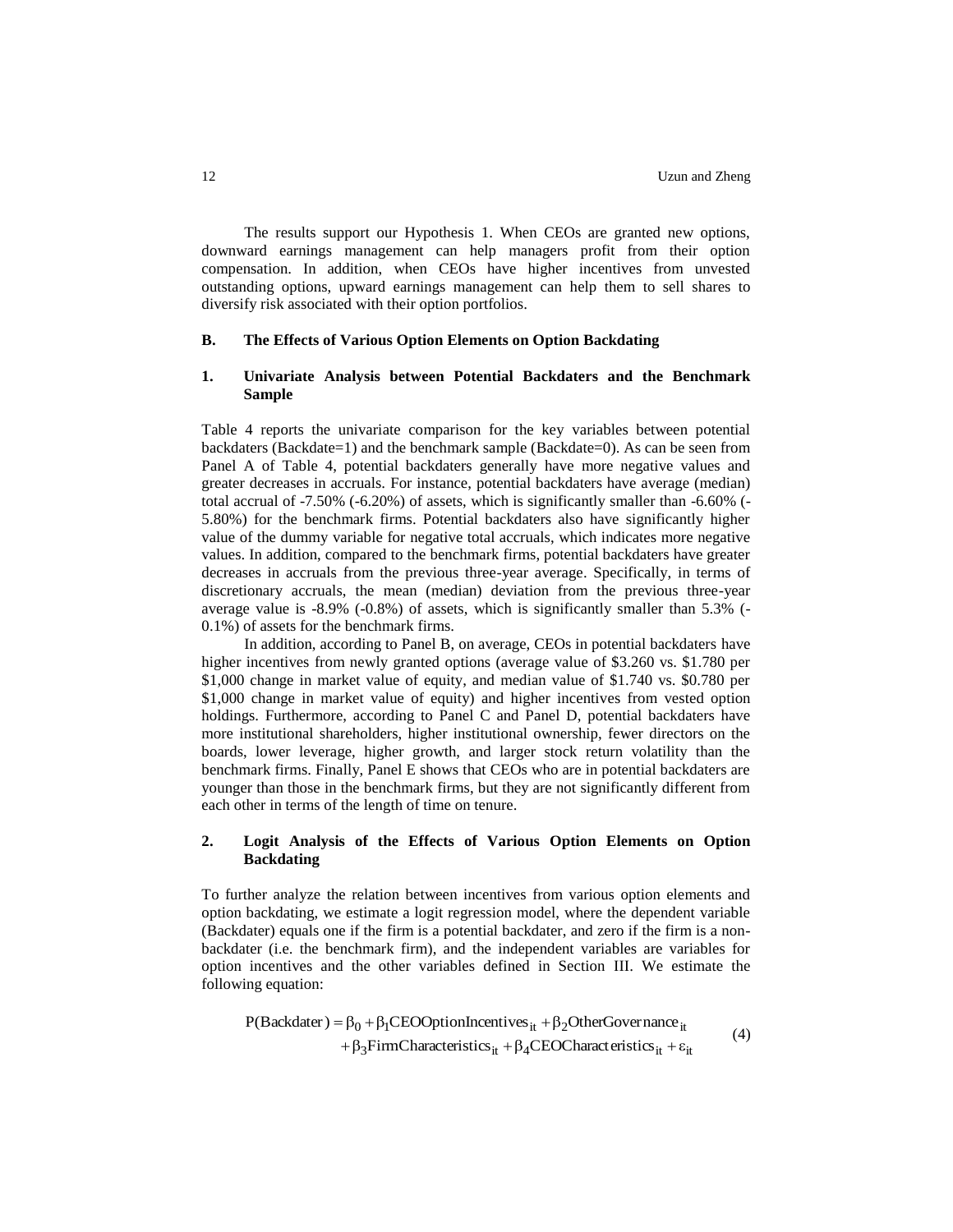The results support our Hypothesis 1. When CEOs are granted new options, downward earnings management can help managers profit from their option compensation. In addition, when CEOs have higher incentives from unvested outstanding options, upward earnings management can help them to sell shares to diversify risk associated with their option portfolios.

# **B. The Effects of Various Option Elements on Option Backdating**

# **1. Univariate Analysis between Potential Backdaters and the Benchmark Sample**

Table 4 reports the univariate comparison for the key variables between potential backdaters (Backdate=1) and the benchmark sample (Backdate=0). As can be seen from Panel A of Table 4, potential backdaters generally have more negative values and greater decreases in accruals. For instance, potential backdaters have average (median) total accrual of -7.50% (-6.20%) of assets, which is significantly smaller than -6.60% (- 5.80%) for the benchmark firms. Potential backdaters also have significantly higher value of the dummy variable for negative total accruals, which indicates more negative values. In addition, compared to the benchmark firms, potential backdaters have greater decreases in accruals from the previous three-year average. Specifically, in terms of discretionary accruals, the mean (median) deviation from the previous three-year average value is -8.9% (-0.8%) of assets, which is significantly smaller than 5.3% (- 0.1%) of assets for the benchmark firms.

In addition, according to Panel B, on average, CEOs in potential backdaters have higher incentives from newly granted options (average value of \$3.260 vs. \$1.780 per \$1,000 change in market value of equity, and median value of \$1.740 vs. \$0.780 per \$1,000 change in market value of equity) and higher incentives from vested option holdings. Furthermore, according to Panel C and Panel D, potential backdaters have more institutional shareholders, higher institutional ownership, fewer directors on the boards, lower leverage, higher growth, and larger stock return volatility than the benchmark firms. Finally, Panel E shows that CEOs who are in potential backdaters are younger than those in the benchmark firms, but they are not significantly different from each other in terms of the length of time on tenure.

# **2. Logit Analysis of the Effects of Various Option Elements on Option Backdating**

To further analyze the relation between incentives from various option elements and option backdating, we estimate a logit regression model, where the dependent variable (Backdater) equals one if the firm is a potential backdater, and zero if the firm is a nonbackdater (i.e. the benchmark firm), and the independent variables are variables for option incentives and the other variables defined in Section III. We estimate the following equation:

$$
P(Backdater) = \beta_0 + \beta_1 CEOOptionIncentives_{it} + \beta_2 OtherGovernment_{it}
$$
  
+ 
$$
\beta_3 FirmCharacteristics_{it} + \beta_4 CEOCharcteristics_{it} + \epsilon_{it}
$$
 (4)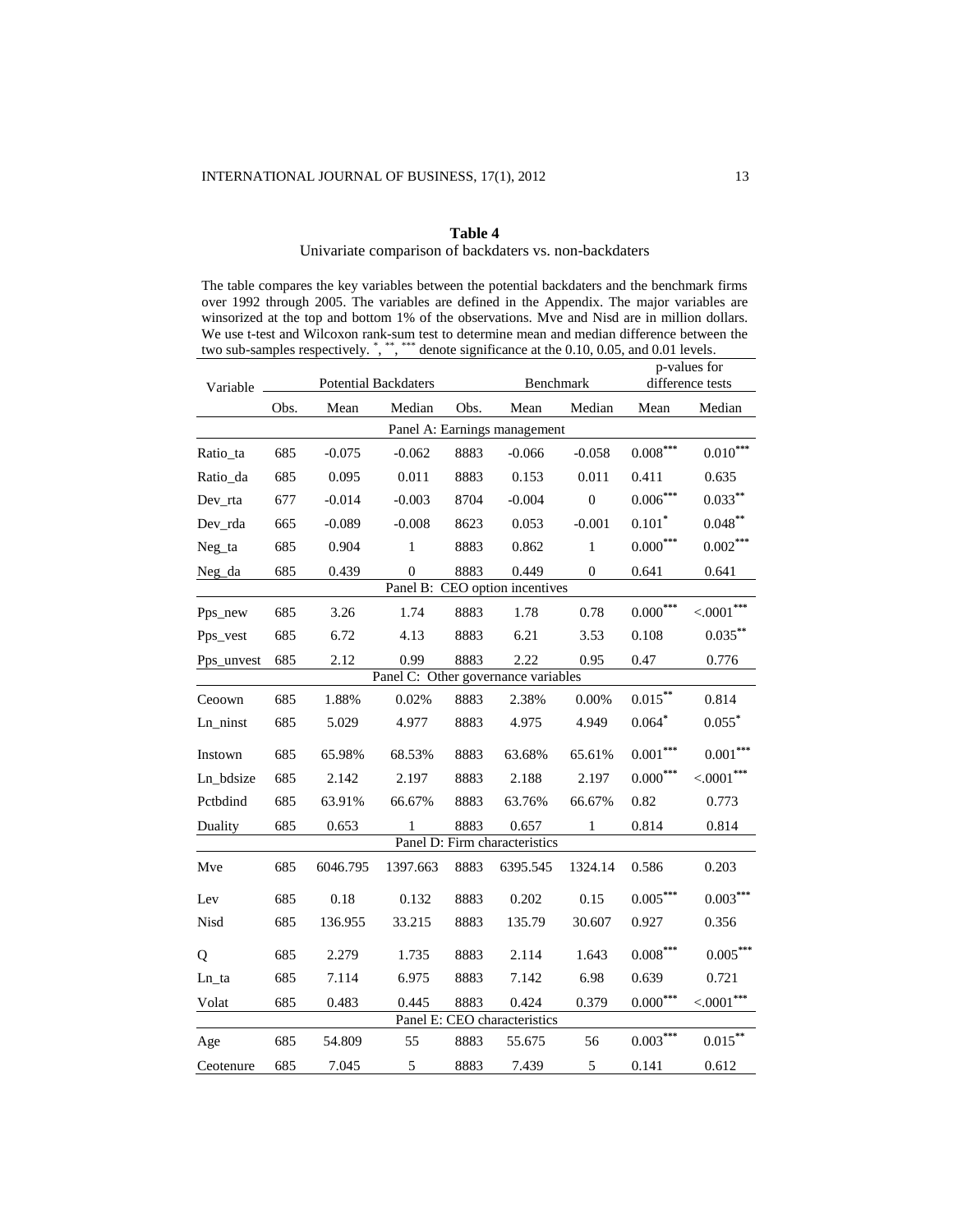# **Table 4**

# Univariate comparison of backdaters vs. non-backdaters

The table compares the key variables between the potential backdaters and the benchmark firms over 1992 through 2005. The variables are defined in the Appendix. The major variables are winsorized at the top and bottom 1% of the observations. Mve and Nisd are in million dollars. We use t-test and Wilcoxon rank-sum test to determine mean and median difference between the two sub-samples respectively.  $\stackrel{*}{\cdot}$ ,  $\stackrel{***}{\cdot}$  denote significance at the 0.10, 0.05, and 0.01 levels.

| Variable   |                        | <b>Potential Backdaters</b> |              |      | Benchmark                           |                  | p-values for<br>difference tests |                  |  |  |
|------------|------------------------|-----------------------------|--------------|------|-------------------------------------|------------------|----------------------------------|------------------|--|--|
|            | Mean<br>Median<br>Obs. |                             |              | Obs. | Mean                                | Median           | Mean                             | Median           |  |  |
|            |                        |                             |              |      | Panel A: Earnings management        |                  |                                  |                  |  |  |
| Ratio_ta   | 685                    | $-0.075$                    | $-0.062$     | 8883 | $-0.066$                            | $-0.058$         | $0.008***$                       | $0.010***$       |  |  |
| Ratio_da   | 685                    | 0.095                       | 0.011        | 8883 | 0.153                               | 0.011            | 0.411                            | 0.635            |  |  |
| Dev_rta    | 677                    | $-0.014$                    | $-0.003$     | 8704 | $-0.004$                            | $\boldsymbol{0}$ | $0.006***$                       | $0.033***$       |  |  |
| Dev_rda    | 665                    | $-0.089$                    | $-0.008$     | 8623 | 0.053                               | $-0.001$         | $0.101*$                         | $0.048***$       |  |  |
| Neg_ta     | 685                    | 0.904                       | $\mathbf{1}$ | 8883 | 0.862                               | $\mathbf{1}$     | ${0.000}^{***}$                  | $0.002***$       |  |  |
| Neg_da     | 685                    | 0.439                       | $\Omega$     | 8883 | 0.449                               | $\Omega$         | 0.641                            | 0.641            |  |  |
|            |                        |                             |              |      | Panel B: CEO option incentives      |                  |                                  |                  |  |  |
| Pps_new    | 685                    | 3.26                        | 1.74         | 8883 | 1.78                                | 0.78             | $0.000***$                       | $<.0001***$      |  |  |
| Pps_vest   | 685                    | 6.72                        | 4.13         | 8883 | 6.21                                | 3.53             | 0.108                            | $0.035***$       |  |  |
| Pps_unvest | 685                    | 2.12                        | 0.99         | 8883 | 2.22                                | 0.95             | 0.47                             | 0.776            |  |  |
|            |                        |                             |              |      | Panel C: Other governance variables |                  |                                  |                  |  |  |
| Ceoown     | 685                    | 1.88%                       | 0.02%        | 8883 | 2.38%                               | 0.00%            | $0.015***$                       | 0.814            |  |  |
| Ln ninst   | 685                    | 5.029                       | 4.977        | 8883 | 4.975                               | 4.949            | $0.064$ *                        | $0.055$ *        |  |  |
| Instown    | 685                    | 65.98%                      | 68.53%       | 8883 | 63.68%                              | 65.61%           | $0.001\sp{***}$                  | $0.001***$       |  |  |
| Ln_bdsize  | 685                    | 2.142                       | 2.197        | 8883 | 2.188                               | 2.197            | $0.000^{***}$                    | $<.0001***$      |  |  |
| Pctbdind   | 685                    | 63.91%                      | 66.67%       | 8883 | 63.76%                              | 66.67%           | 0.82                             | 0.773            |  |  |
| Duality    | 685                    | 0.653                       | $\mathbf{1}$ | 8883 | 0.657                               | 1                | 0.814                            | 0.814            |  |  |
|            |                        |                             |              |      | Panel D: Firm characteristics       |                  |                                  |                  |  |  |
| Mve        | 685                    | 6046.795                    | 1397.663     | 8883 | 6395.545                            | 1324.14          | 0.586                            | 0.203            |  |  |
| Lev        | 685                    | 0.18                        | 0.132        | 8883 | 0.202                               | 0.15             | $0.005***$                       | $0.003***$       |  |  |
| Nisd       | 685                    | 136.955                     | 33.215       | 8883 | 135.79                              | 30.607           | 0.927                            | 0.356            |  |  |
| Q          | 685                    | 2.279                       | 1.735        | 8883 | 2.114                               | 1.643            | $0.008^{***}\,$                  | $0.005***$       |  |  |
| Ln_ta      | 685                    | 7.114                       | 6.975        | 8883 | 7.142                               | 6.98             | 0.639                            | 0.721            |  |  |
| Volat      | 685                    | 0.483                       | 0.445        | 8883 | 0.424                               | 0.379            | $0.000***$                       | $\leq 0.001$ *** |  |  |
|            |                        |                             |              |      | Panel E: CEO characteristics        |                  |                                  |                  |  |  |
| Age        | 685                    | 54.809                      | 55           | 8883 | 55.675                              | 56               | $0.003***$                       | $0.015***$       |  |  |
| Ceotenure  | 685                    | 7.045                       | 5            | 8883 | 7.439                               | 5                | 0.141                            | 0.612            |  |  |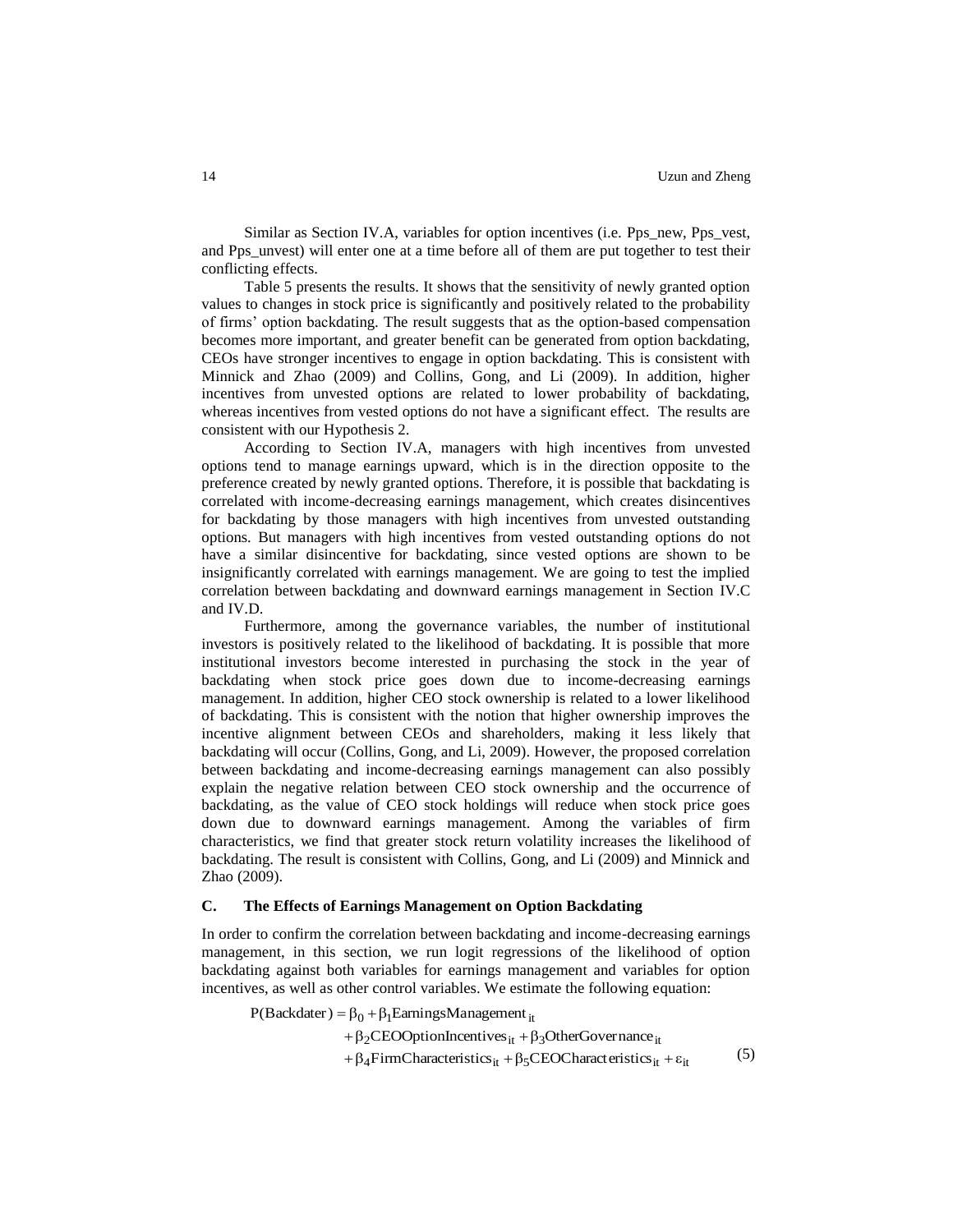Similar as Section IV.A, variables for option incentives (i.e. Pps\_new, Pps\_vest, and Pps\_unvest) will enter one at a time before all of them are put together to test their conflicting effects.

Table 5 presents the results. It shows that the sensitivity of newly granted option values to changes in stock price is significantly and positively related to the probability of firms' option backdating. The result suggests that as the option-based compensation becomes more important, and greater benefit can be generated from option backdating, CEOs have stronger incentives to engage in option backdating. This is consistent with Minnick and Zhao (2009) and Collins, Gong, and Li (2009). In addition, higher incentives from unvested options are related to lower probability of backdating, whereas incentives from vested options do not have a significant effect. The results are consistent with our Hypothesis 2.

According to Section IV.A, managers with high incentives from unvested options tend to manage earnings upward, which is in the direction opposite to the preference created by newly granted options. Therefore, it is possible that backdating is correlated with income-decreasing earnings management, which creates disincentives for backdating by those managers with high incentives from unvested outstanding options. But managers with high incentives from vested outstanding options do not have a similar disincentive for backdating, since vested options are shown to be insignificantly correlated with earnings management. We are going to test the implied correlation between backdating and downward earnings management in Section IV.C and IV.D.

Furthermore, among the governance variables, the number of institutional investors is positively related to the likelihood of backdating. It is possible that more institutional investors become interested in purchasing the stock in the year of backdating when stock price goes down due to income-decreasing earnings management. In addition, higher CEO stock ownership is related to a lower likelihood of backdating. This is consistent with the notion that higher ownership improves the incentive alignment between CEOs and shareholders, making it less likely that backdating will occur (Collins, Gong, and Li, 2009). However, the proposed correlation between backdating and income-decreasing earnings management can also possibly explain the negative relation between CEO stock ownership and the occurrence of backdating, as the value of CEO stock holdings will reduce when stock price goes down due to downward earnings management. Among the variables of firm characteristics, we find that greater stock return volatility increases the likelihood of backdating. The result is consistent with Collins, Gong, and Li (2009) and Minnick and Zhao (2009).

#### **C. The Effects of Earnings Management on Option Backdating**

In order to confirm the correlation between backdating and income-decreasing earnings management, in this section, we run logit regressions of the likelihood of option backdating against both variables for earnings management and variables for option incentives, as well as other control variables. We estimate the following equation:

 $P(Backdater) = \beta_0 + \beta_1$ EarningsManagement<sub>it</sub>

+ $\beta_2$ CEOOptionIncentives<sub>it</sub> + $\beta_3$ OtherGovernance<sub>it</sub>

+  $\beta_4$  FirmCharacteristics<sub>it</sub> +  $\beta_5$ CEOCharacteristics<sub>it</sub> +  $\varepsilon_{it}$ (5)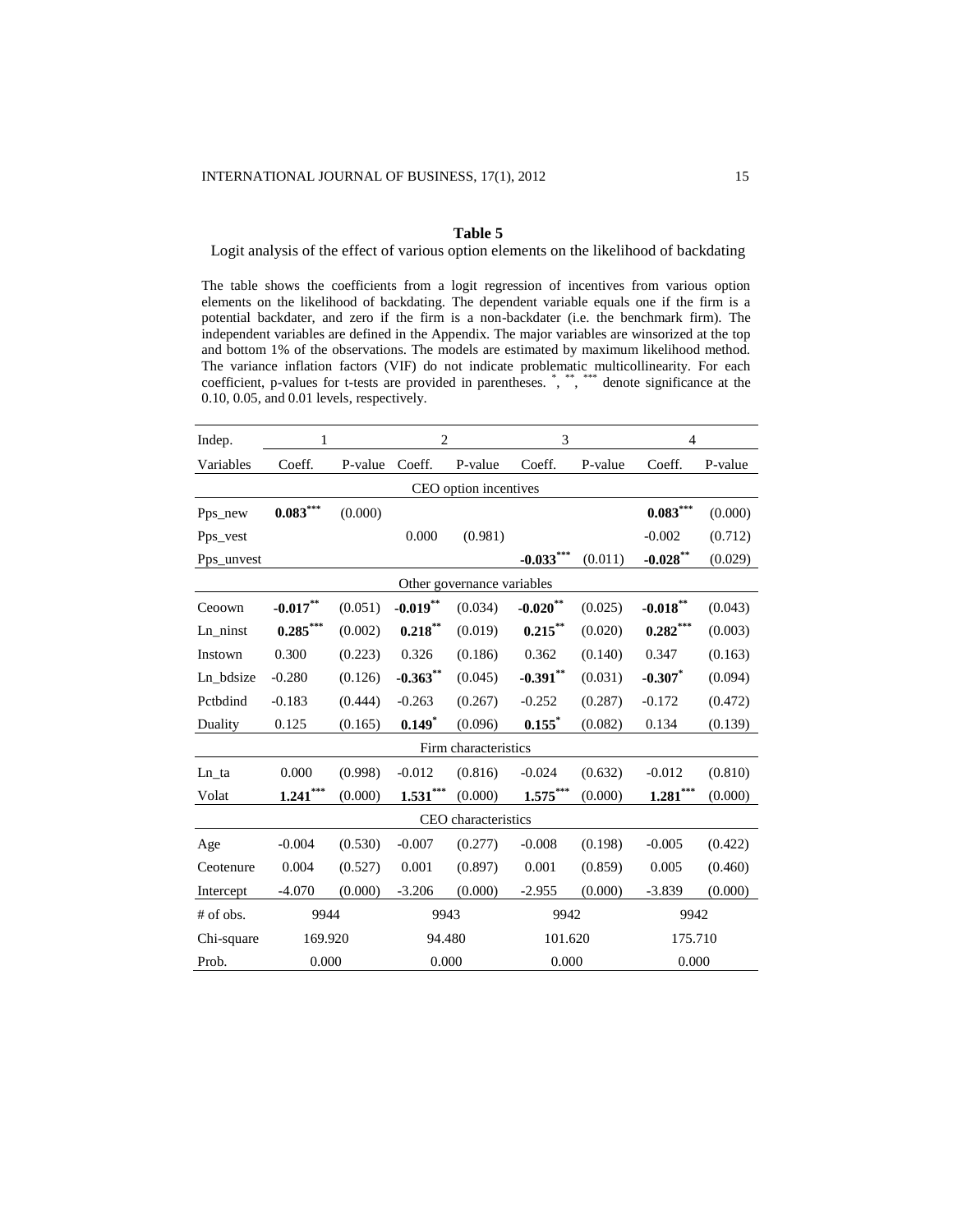# **Table 5**

Logit analysis of the effect of various option elements on the likelihood of backdating

The table shows the coefficients from a logit regression of incentives from various option elements on the likelihood of backdating. The dependent variable equals one if the firm is a potential backdater, and zero if the firm is a non-backdater (i.e. the benchmark firm). The independent variables are defined in the Appendix. The major variables are winsorized at the top and bottom 1% of the observations. The models are estimated by maximum likelihood method. The variance inflation factors (VIF) do not indicate problematic multicollinearity. For each coefficient, p-values for t-tests are provided in parentheses. \*, \*\*\*, \*\*\*\* denote significance at the 0.10, 0.05, and 0.01 levels, respectively.

| Indep.     | 1                      |         | $\overline{2}$ |                            | 3                      |         | $\overline{4}$         |         |  |
|------------|------------------------|---------|----------------|----------------------------|------------------------|---------|------------------------|---------|--|
| Variables  | Coeff.                 | P-value | Coeff.         | P-value                    | Coeff.                 | P-value | Coeff.                 | P-value |  |
|            |                        |         |                | CEO option incentives      |                        |         |                        |         |  |
| Pps new    | $\mathbf{0.083}^{***}$ | (0.000) |                |                            |                        |         | $\mathbf{0.083}^{***}$ | (0.000) |  |
| Pps_vest   |                        |         | 0.000          | (0.981)                    |                        |         | $-0.002$               | (0.712) |  |
| Pps_unvest |                        |         |                |                            | $-0.033***$            | (0.011) | $-0.028$ **            | (0.029) |  |
|            |                        |         |                | Other governance variables |                        |         |                        |         |  |
| Ceoown     | $-0.017***$            | (0.051) | $-0.019$ **    | (0.034)                    | $\textbf{-0.020}^{**}$ | (0.025) | $\textbf{-0.018}^{**}$ | (0.043) |  |
| Ln ninst   | $0.285***$             | (0.002) | $0.218***$     | (0.019)                    | $0.215***$             | (0.020) | $0.282***$             | (0.003) |  |
| Instown    | 0.300                  | (0.223) | 0.326          | (0.186)                    | 0.362                  | (0.140) | 0.347                  | (0.163) |  |
| Ln bdsize  | $-0.280$               | (0.126) | $-0.363***$    | (0.045)                    | $-0.391**$             | (0.031) | $-0.307$ *             | (0.094) |  |
| Pctbdind   | $-0.183$               | (0.444) | $-0.263$       | (0.267)                    | $-0.252$               | (0.287) | $-0.172$               | (0.472) |  |
| Duality    | 0.125                  | (0.165) | $0.149*$       | (0.096)                    | 0.155                  | (0.082) | 0.134                  | (0.139) |  |
|            |                        |         |                | Firm characteristics       |                        |         |                        |         |  |
| Ln_ta      | 0.000                  | (0.998) | $-0.012$       | (0.816)                    | $-0.024$               | (0.632) | $-0.012$               | (0.810) |  |
| Volat      | $1.241***$             | (0.000) | $1.531***$     | (0.000)                    | $1.575***$             | (0.000) | $1.281***$             | (0.000) |  |
|            |                        |         |                | CEO characteristics        |                        |         |                        |         |  |
| Age        | $-0.004$               | (0.530) | $-0.007$       | (0.277)                    | $-0.008$               | (0.198) | $-0.005$               | (0.422) |  |
| Ceotenure  | 0.004                  | (0.527) | 0.001          | (0.897)                    | 0.001                  | (0.859) | 0.005                  | (0.460) |  |
| Intercept  | $-4.070$               | (0.000) | $-3.206$       | (0.000)                    | $-2.955$               | (0.000) | $-3.839$               | (0.000) |  |
| # of obs.  | 9944                   |         | 9943           |                            | 9942                   |         | 9942                   |         |  |
| Chi-square | 169.920                |         | 94.480         |                            | 101.620                |         | 175.710                |         |  |
| Prob.      | 0.000                  |         | 0.000          |                            | 0.000                  |         | 0.000                  |         |  |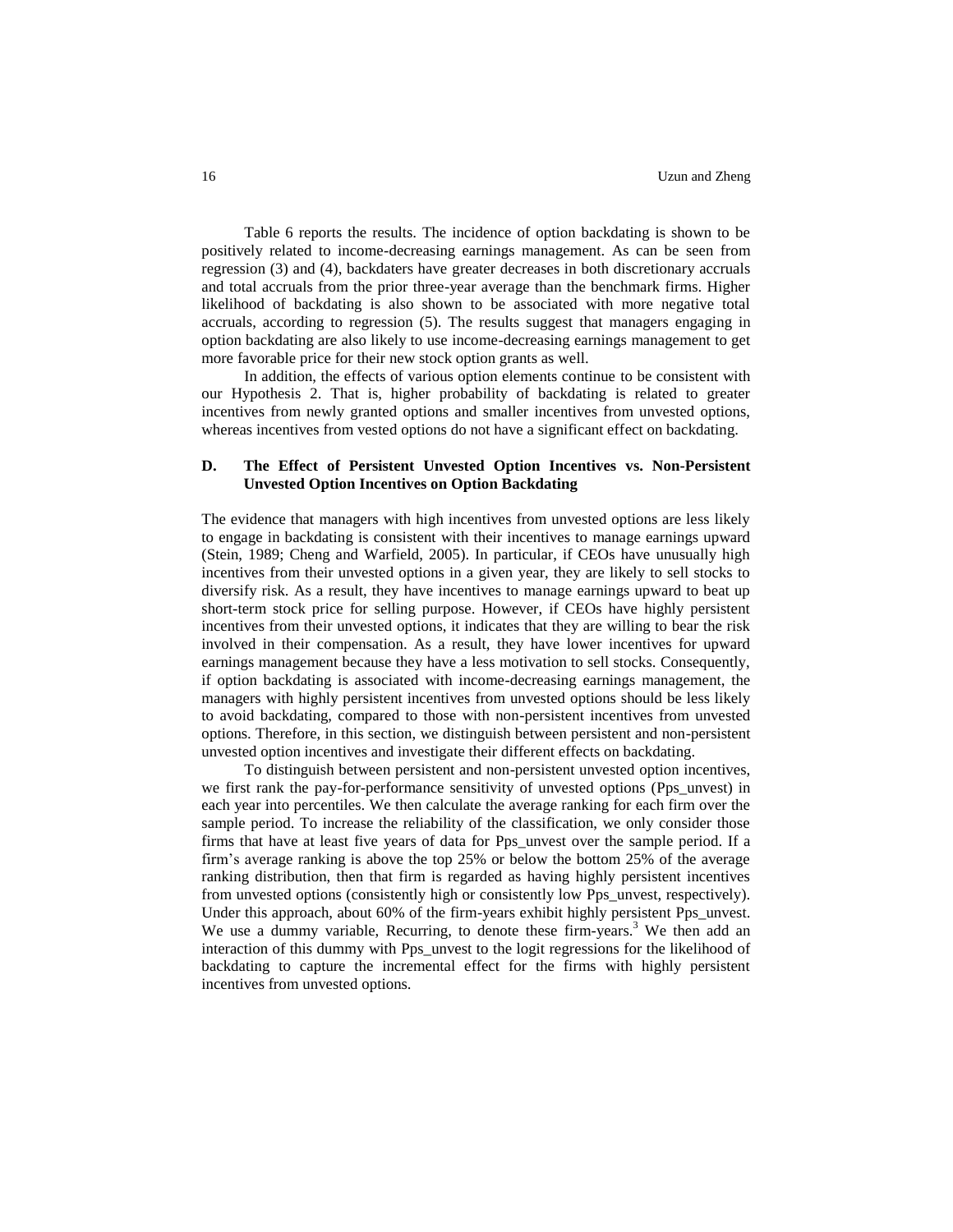Table 6 reports the results. The incidence of option backdating is shown to be positively related to income-decreasing earnings management. As can be seen from regression (3) and (4), backdaters have greater decreases in both discretionary accruals and total accruals from the prior three-year average than the benchmark firms. Higher likelihood of backdating is also shown to be associated with more negative total accruals, according to regression (5). The results suggest that managers engaging in option backdating are also likely to use income-decreasing earnings management to get more favorable price for their new stock option grants as well.

In addition, the effects of various option elements continue to be consistent with our Hypothesis 2. That is, higher probability of backdating is related to greater incentives from newly granted options and smaller incentives from unvested options, whereas incentives from vested options do not have a significant effect on backdating.

# **D. The Effect of Persistent Unvested Option Incentives vs. Non-Persistent Unvested Option Incentives on Option Backdating**

The evidence that managers with high incentives from unvested options are less likely to engage in backdating is consistent with their incentives to manage earnings upward (Stein, 1989; Cheng and Warfield, 2005). In particular, if CEOs have unusually high incentives from their unvested options in a given year, they are likely to sell stocks to diversify risk. As a result, they have incentives to manage earnings upward to beat up short-term stock price for selling purpose. However, if CEOs have highly persistent incentives from their unvested options, it indicates that they are willing to bear the risk involved in their compensation. As a result, they have lower incentives for upward earnings management because they have a less motivation to sell stocks. Consequently, if option backdating is associated with income-decreasing earnings management, the managers with highly persistent incentives from unvested options should be less likely to avoid backdating, compared to those with non-persistent incentives from unvested options. Therefore, in this section, we distinguish between persistent and non-persistent unvested option incentives and investigate their different effects on backdating.

To distinguish between persistent and non-persistent unvested option incentives, we first rank the pay-for-performance sensitivity of unvested options (Pps\_unvest) in each year into percentiles. We then calculate the average ranking for each firm over the sample period. To increase the reliability of the classification, we only consider those firms that have at least five years of data for Pps\_unvest over the sample period. If a firm's average ranking is above the top 25% or below the bottom 25% of the average ranking distribution, then that firm is regarded as having highly persistent incentives from unvested options (consistently high or consistently low Pps\_unvest, respectively). Under this approach, about 60% of the firm-years exhibit highly persistent Pps\_unvest. We use a dummy variable, Recurring, to denote these firm-years.<sup>3</sup> We then add an interaction of this dummy with Pps\_unvest to the logit regressions for the likelihood of backdating to capture the incremental effect for the firms with highly persistent incentives from unvested options.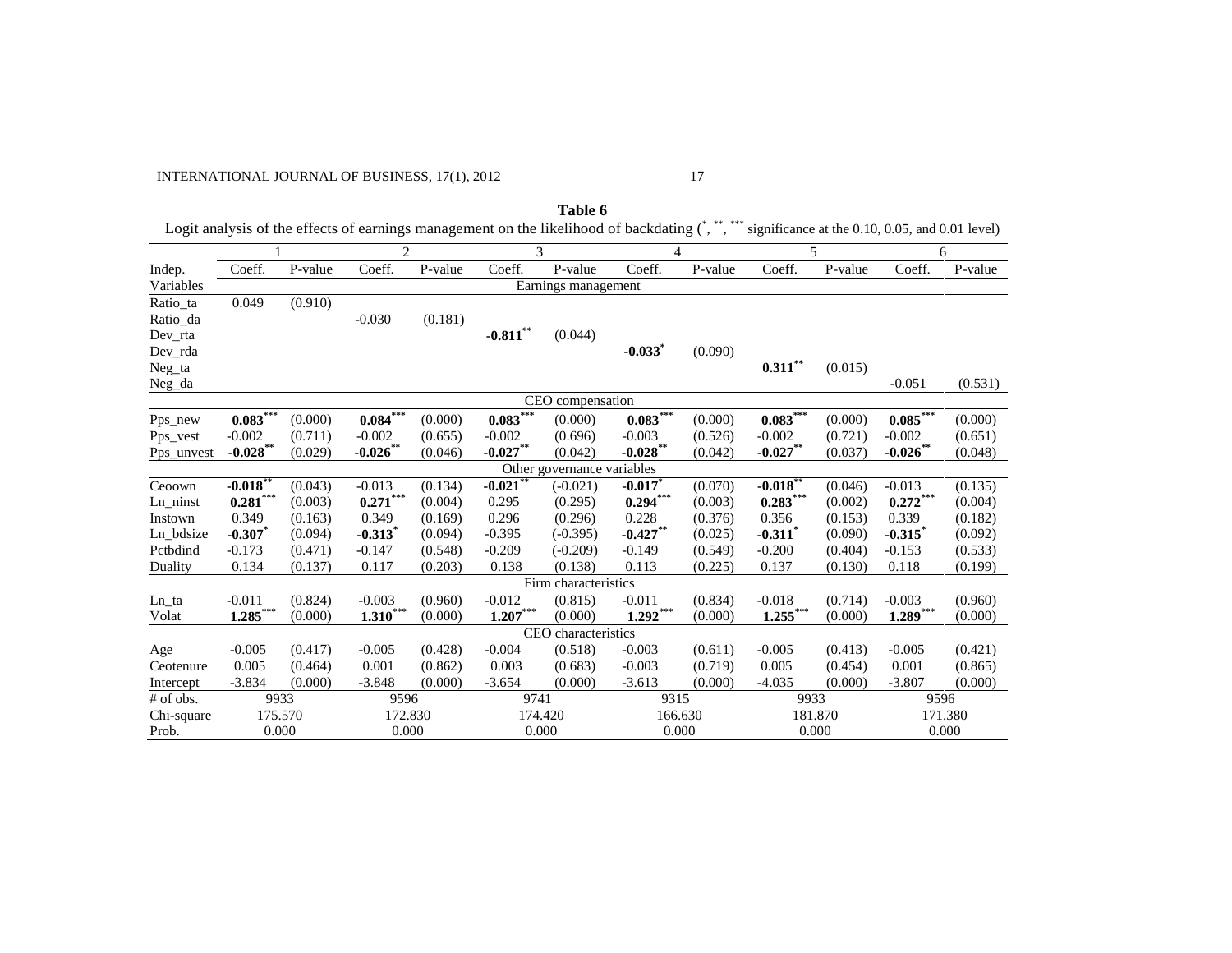# INTERNATIONAL JOURNAL OF BUSINESS, 17(1), 2012 17

|                            |                                 |         |                        |                       |                        | Table 6               | Logit analysis of the effects of earnings management on the likelihood of backdating (*,**,**** significance at the 0.10, 0.05, and 0.01 level) |         |                       |         |             |         |  |
|----------------------------|---------------------------------|---------|------------------------|-----------------------|------------------------|-----------------------|-------------------------------------------------------------------------------------------------------------------------------------------------|---------|-----------------------|---------|-------------|---------|--|
|                            |                                 |         | $\mathfrak{D}$         |                       |                        | 3                     |                                                                                                                                                 | 4       | 5                     |         | 6           |         |  |
| Indep.                     | Coeff.                          | P-value | Coeff.                 | $\overline{P}$ -value | Coeff.                 | $\overline{P}$ -value | Coeff.                                                                                                                                          | P-value | Coeff.                | P-value | Coeff.      | P-value |  |
| Variables                  |                                 |         |                        |                       |                        | Earnings management   |                                                                                                                                                 |         |                       |         |             |         |  |
| Ratio_ta                   | 0.049                           | (0.910) |                        |                       |                        |                       |                                                                                                                                                 |         |                       |         |             |         |  |
| Ratio_da                   |                                 |         | $-0.030$               | (0.181)               |                        |                       |                                                                                                                                                 |         |                       |         |             |         |  |
| Dev_rta                    |                                 |         |                        |                       | $-0.811***$            | (0.044)               |                                                                                                                                                 |         |                       |         |             |         |  |
| Dev_rda                    |                                 |         |                        |                       |                        |                       | $-0.033$ <sup>*</sup>                                                                                                                           | (0.090) |                       |         |             |         |  |
| Neg_ta                     |                                 |         |                        |                       |                        |                       |                                                                                                                                                 |         | $0.311***$            | (0.015) |             |         |  |
| Neg_da                     |                                 |         |                        |                       |                        |                       |                                                                                                                                                 |         |                       |         | $-0.051$    | (0.531) |  |
|                            |                                 |         |                        |                       |                        | CEO compensation      |                                                                                                                                                 |         |                       |         |             |         |  |
| Pps_new                    | $0.083***$                      | (0.000) | $\textbf{0.084}^{***}$ | (0.000)               | $0.083***$             | (0.000)               | $0.083***$                                                                                                                                      | (0.000) | $0.083***$            | (0.000) | $0.085***$  | (0.000) |  |
| Pps_vest                   | $-0.002$                        | (0.711) | $-0.002$               | (0.655)               | $-0.002$               | (0.696)               | $-0.003$                                                                                                                                        | (0.526) | $-0.002$              | (0.721) | $-0.002$    | (0.651) |  |
| Pps_unvest                 | $-0.028$ **                     | (0.029) | $-0.026$ **            | (0.046)               | $-0.027**$             | (0.042)               | $-0.028***$                                                                                                                                     | (0.042) | $-0.027**$            | (0.037) | $-0.026$ ** | (0.048) |  |
| Other governance variables |                                 |         |                        |                       |                        |                       |                                                                                                                                                 |         |                       |         |             |         |  |
| Ceoown                     | $-0.018**$                      | (0.043) | $-0.013$               | (0.134)               | $-0.021$ <sup>**</sup> | $(-0.021)$            | $-0.017$ *                                                                                                                                      | (0.070) | $-0.018***$           | (0.046) | $-0.013$    | (0.135) |  |
| Ln ninst                   | $\textbf{0.281}^{\ast\ast\ast}$ | (0.003) | $0.271***$             | (0.004)               | 0.295                  | (0.295)               | $0.294***$                                                                                                                                      | (0.003) | $0.283***$            | (0.002) | $0.272***$  | (0.004) |  |
| Instown                    | 0.349                           | (0.163) | 0.349                  | (0.169)               | 0.296                  | (0.296)               | 0.228                                                                                                                                           | (0.376) | 0.356                 | (0.153) | 0.339       | (0.182) |  |
| Ln_bdsize                  | $-0.307$                        | (0.094) | $-0.313$ <sup>*</sup>  | (0.094)               | $-0.395$               | $(-0.395)$            | $-0.427***$                                                                                                                                     | (0.025) | $-0.311$ <sup>*</sup> | (0.090) | $-0.315$    | (0.092) |  |
| Pctbdind                   | $-0.173$                        | (0.471) | $-0.147$               | (0.548)               | $-0.209$               | $(-0.209)$            | $-0.149$                                                                                                                                        | (0.549) | $-0.200$              | (0.404) | $-0.153$    | (0.533) |  |
| Duality                    | 0.134                           | (0.137) | 0.117                  | (0.203)               | 0.138                  | (0.138)               | 0.113                                                                                                                                           | (0.225) | 0.137                 | (0.130) | 0.118       | (0.199) |  |
|                            |                                 |         |                        |                       |                        | Firm characteristics  |                                                                                                                                                 |         |                       |         |             |         |  |
| Ln_ta                      | $-0.011$                        | (0.824) | $-0.003$               | (0.960)               | $-0.012$               | (0.815)               | $-0.011$                                                                                                                                        | (0.834) | $-0.018$              | (0.714) | $-0.003$    | (0.960) |  |
| Volat                      | $1.285***$                      | (0.000) | $1.310***$             | (0.000)               | $1.207***$             | (0.000)               | $1.292***$                                                                                                                                      | (0.000) | $1.255***$            | (0.000) | $1.289***$  | (0.000) |  |
|                            |                                 |         |                        |                       |                        | CEO characteristics   |                                                                                                                                                 |         |                       |         |             |         |  |
| Age                        | $-0.005$                        | (0.417) | $-0.005$               | (0.428)               | $-0.004$               | (0.518)               | $-0.003$                                                                                                                                        | (0.611) | $-0.005$              | (0.413) | $-0.005$    | (0.421) |  |
| Ceotenure                  | 0.005                           | (0.464) | 0.001                  | (0.862)               | 0.003                  | (0.683)               | $-0.003$                                                                                                                                        | (0.719) | 0.005                 | (0.454) | 0.001       | (0.865) |  |
| Intercept                  | $-3.834$                        | (0.000) | $-3.848$               | (0.000)               | $-3.654$               | (0.000)               | $-3.613$                                                                                                                                        | (0.000) | $-4.035$              | (0.000) | $-3.807$    | (0.000) |  |
| # of obs.                  | 9933                            |         | 9596                   |                       | 9741                   |                       | 9315                                                                                                                                            |         | 9933                  |         | 9596        |         |  |
| Chi-square                 | 175.570                         |         | 172.830                |                       | 174.420                |                       | 166.630                                                                                                                                         |         | 181.870               |         |             | 171.380 |  |
| Prob.                      | 0.000                           |         | 0.000                  |                       | 0.000                  |                       | 0.000                                                                                                                                           |         | 0.000                 |         | 0.000       |         |  |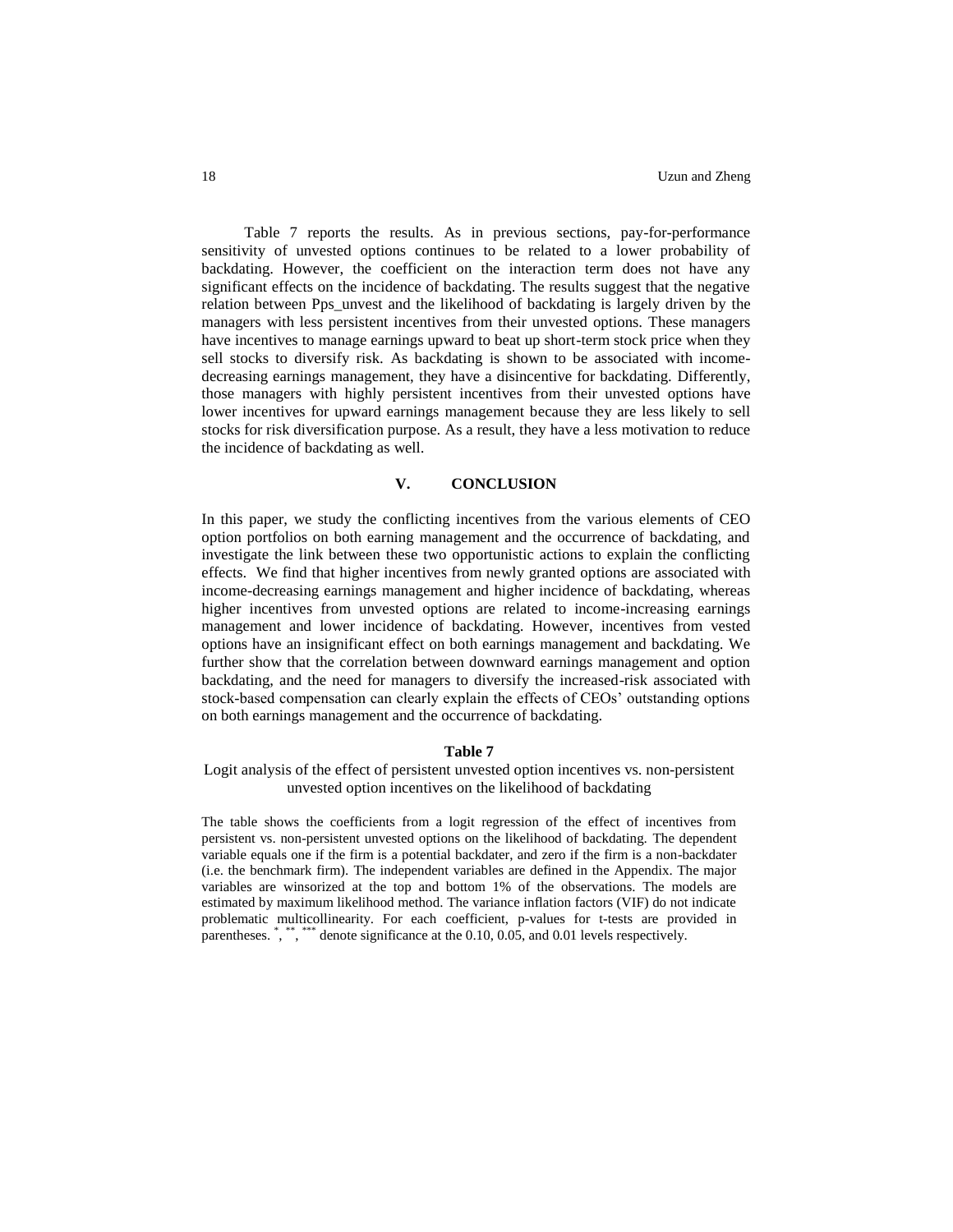Table 7 reports the results. As in previous sections, pay-for-performance sensitivity of unvested options continues to be related to a lower probability of backdating. However, the coefficient on the interaction term does not have any significant effects on the incidence of backdating. The results suggest that the negative relation between Pps\_unvest and the likelihood of backdating is largely driven by the managers with less persistent incentives from their unvested options. These managers have incentives to manage earnings upward to beat up short-term stock price when they sell stocks to diversify risk. As backdating is shown to be associated with incomedecreasing earnings management, they have a disincentive for backdating. Differently, those managers with highly persistent incentives from their unvested options have lower incentives for upward earnings management because they are less likely to sell stocks for risk diversification purpose. As a result, they have a less motivation to reduce the incidence of backdating as well.

# **V. CONCLUSION**

In this paper, we study the conflicting incentives from the various elements of CEO option portfolios on both earning management and the occurrence of backdating, and investigate the link between these two opportunistic actions to explain the conflicting effects. We find that higher incentives from newly granted options are associated with income-decreasing earnings management and higher incidence of backdating, whereas higher incentives from unvested options are related to income-increasing earnings management and lower incidence of backdating. However, incentives from vested options have an insignificant effect on both earnings management and backdating. We further show that the correlation between downward earnings management and option backdating, and the need for managers to diversify the increased-risk associated with stock-based compensation can clearly explain the effects of CEOs' outstanding options on both earnings management and the occurrence of backdating.

#### **Table 7**

# Logit analysis of the effect of persistent unvested option incentives vs. non-persistent unvested option incentives on the likelihood of backdating

The table shows the coefficients from a logit regression of the effect of incentives from persistent vs. non-persistent unvested options on the likelihood of backdating. The dependent variable equals one if the firm is a potential backdater, and zero if the firm is a non-backdater (i.e. the benchmark firm). The independent variables are defined in the Appendix. The major variables are winsorized at the top and bottom 1% of the observations. The models are estimated by maximum likelihood method. The variance inflation factors (VIF) do not indicate problematic multicollinearity. For each coefficient, p-values for t-tests are provided in parentheses.  $\stackrel{*}{\cdot}$ ,  $\stackrel{***}{\cdot}$  denote significance at the 0.10, 0.05, and 0.01 levels respectively.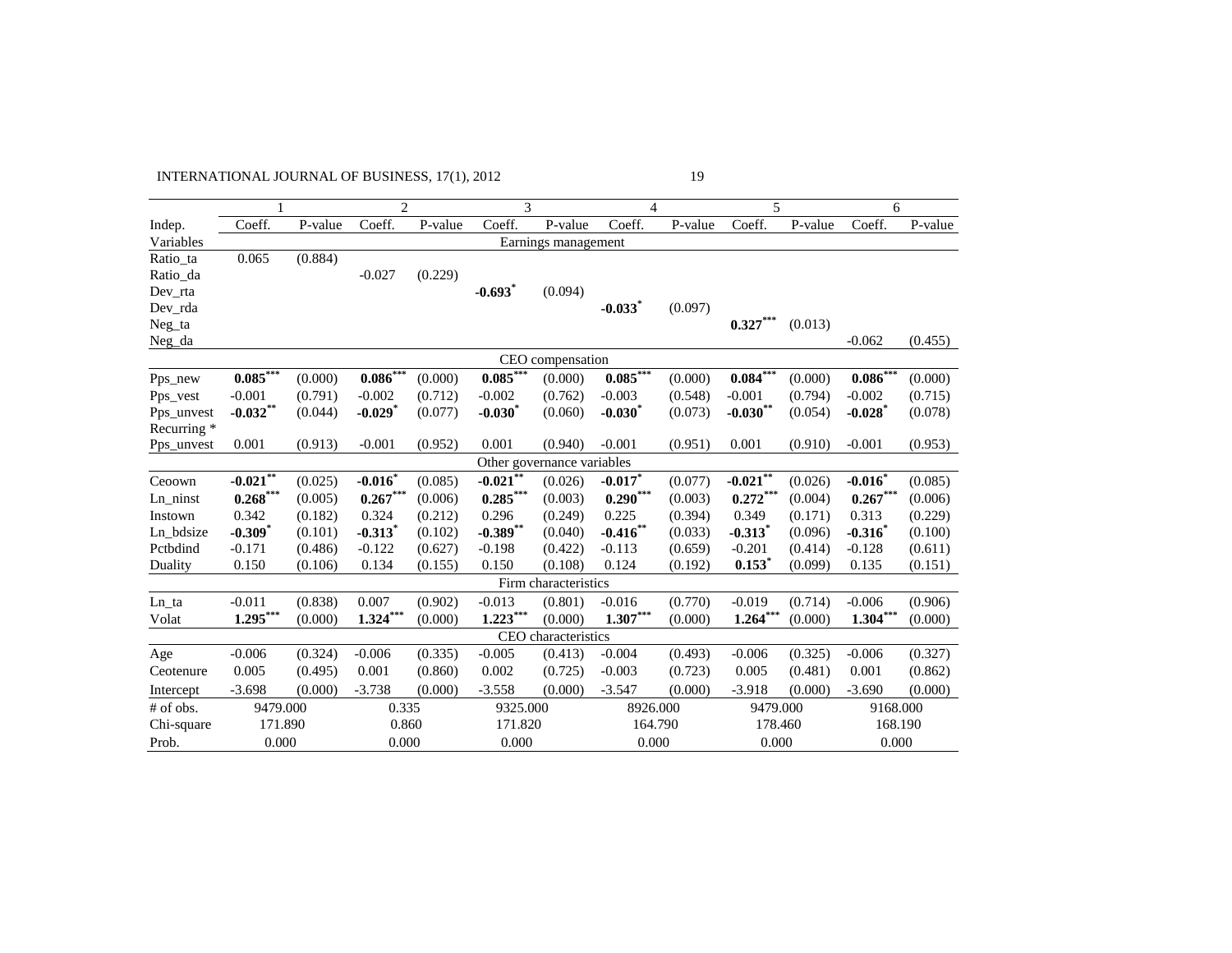# INTERNATIONAL JOURNAL OF BUSINESS, 17(1), 2012 19

|                            | 1                               |         | $\overline{c}$                  |         | 3                     |                      | $\overline{4}$        |         | 5                     |         | 6                     |         |
|----------------------------|---------------------------------|---------|---------------------------------|---------|-----------------------|----------------------|-----------------------|---------|-----------------------|---------|-----------------------|---------|
| Indep.                     | Coeff.                          | P-value | Coeff.                          | P-value | Coeff.                | P-value              | Coeff.                | P-value | Coeff.                | P-value | Coeff.                | P-value |
| Variables                  |                                 |         |                                 |         |                       | Earnings management  |                       |         |                       |         |                       |         |
| Ratio_ta                   | 0.065                           | (0.884) |                                 |         |                       |                      |                       |         |                       |         |                       |         |
| Ratio_da                   |                                 |         | $-0.027$                        | (0.229) |                       |                      |                       |         |                       |         |                       |         |
| Dev_rta                    |                                 |         |                                 |         | $-0.693$ <sup>*</sup> | (0.094)              |                       |         |                       |         |                       |         |
| Dev_rda                    |                                 |         |                                 |         |                       |                      | $-0.033$ <sup>*</sup> | (0.097) |                       |         |                       |         |
| Neg_ta                     |                                 |         |                                 |         |                       |                      |                       |         | $0.327***$            | (0.013) |                       |         |
| Neg_da                     |                                 |         |                                 |         |                       |                      |                       |         |                       |         | $-0.062$              | (0.455) |
|                            | CEO compensation                |         |                                 |         |                       |                      |                       |         |                       |         |                       |         |
| Pps_new                    | $0.085***$                      | (0.000) | $0.086***$                      | (0.000) | $0.085***$            | (0.000)              | $0.085***$            | (0.000) | $0.084***$            | (0.000) | $0.086***$            | (0.000) |
| Pps_vest                   | $-0.001$                        | (0.791) | $-0.002$                        | (0.712) | $-0.002$              | (0.762)              | $-0.003$              | (0.548) | $-0.001$              | (0.794) | $-0.002$              | (0.715) |
| Pps unvest                 | $-0.032**$                      | (0.044) | $-0.029$ <sup>*</sup>           | (0.077) | $-0.030*$             | (0.060)              | $-0.030$ <sup>*</sup> | (0.073) | $-0.030**$            | (0.054) | $-0.028$ <sup>*</sup> | (0.078) |
| Recurring *                |                                 |         |                                 |         |                       |                      |                       |         |                       |         |                       |         |
| Pps_unvest                 | 0.001                           | (0.913) | $-0.001$                        | (0.952) | 0.001                 | (0.940)              | $-0.001$              | (0.951) | 0.001                 | (0.910) | $-0.001$              | (0.953) |
| Other governance variables |                                 |         |                                 |         |                       |                      |                       |         |                       |         |                       |         |
| Ceoown                     | $-0.021***$                     | (0.025) | $-0.016$ <sup>*</sup>           | (0.085) | $-0.021$ **           | (0.026)              | $-0.017$              | (0.077) | $-0.021***$           | (0.026) | $-0.016$              | (0.085) |
| Ln_ninst                   | $\textbf{0.268}^{\ast\ast\ast}$ | (0.005) | $\textbf{0.267}^{\ast\ast\ast}$ | (0.006) | $0.285***$            | (0.003)              | $0.290***$            | (0.003) | $0.272***$            | (0.004) | $0.267***$            | (0.006) |
| Instown                    | 0.342                           | (0.182) | 0.324                           | (0.212) | 0.296                 | (0.249)              | 0.225                 | (0.394) | 0.349                 | (0.171) | 0.313                 | (0.229) |
| Ln_bdsize                  | $-0.309*$                       | (0.101) | $-0.313$ <sup>*</sup>           | (0.102) | $-0.389**$            | (0.040)              | $-0.416$ **           | (0.033) | $-0.313$ <sup>*</sup> | (0.096) | $-0.316$              | (0.100) |
| Pctbdind                   | $-0.171$                        | (0.486) | $-0.122$                        | (0.627) | $-0.198$              | (0.422)              | $-0.113$              | (0.659) | $-0.201$              | (0.414) | $-0.128$              | (0.611) |
| Duality                    | 0.150                           | (0.106) | 0.134                           | (0.155) | 0.150                 | (0.108)              | 0.124                 | (0.192) | $0.153$ *             | (0.099) | 0.135                 | (0.151) |
|                            |                                 |         |                                 |         |                       | Firm characteristics |                       |         |                       |         |                       |         |
| Ln_ta                      | $-0.011$                        | (0.838) | 0.007                           | (0.902) | $-0.013$              | (0.801)              | $-0.016$              | (0.770) | $-0.019$              | (0.714) | $-0.006$              | (0.906) |
| Volat                      | $1.295***$                      | (0.000) | $1.324***$                      | (0.000) | $1.223***$            | (0.000)              | $1.307***$            | (0.000) | $1.264***$            | (0.000) | $1.304***$            | (0.000) |
|                            |                                 |         |                                 |         |                       | CEO characteristics  |                       |         |                       |         |                       |         |
| Age                        | $-0.006$                        | (0.324) | $-0.006$                        | (0.335) | $-0.005$              | (0.413)              | $-0.004$              | (0.493) | $-0.006$              | (0.325) | $-0.006$              | (0.327) |
| Ceotenure                  | 0.005                           | (0.495) | 0.001                           | (0.860) | 0.002                 | (0.725)              | $-0.003$              | (0.723) | 0.005                 | (0.481) | 0.001                 | (0.862) |
| Intercept                  | $-3.698$                        | (0.000) | $-3.738$                        | (0.000) | $-3.558$              | (0.000)              | $-3.547$              | (0.000) | $-3.918$              | (0.000) | $-3.690$              | (0.000) |
| # of obs.                  | 9479.000                        |         | 0.335                           |         | 9325.000              |                      | 8926.000              |         | 9479.000              |         | 9168.000              |         |
| Chi-square                 | 171.890                         |         | 0.860                           |         | 171.820               |                      | 164.790               |         | 178.460               |         | 168.190               |         |
| Prob.                      | 0.000                           |         | 0.000                           |         | 0.000                 |                      | 0.000                 |         | 0.000                 |         | 0.000                 |         |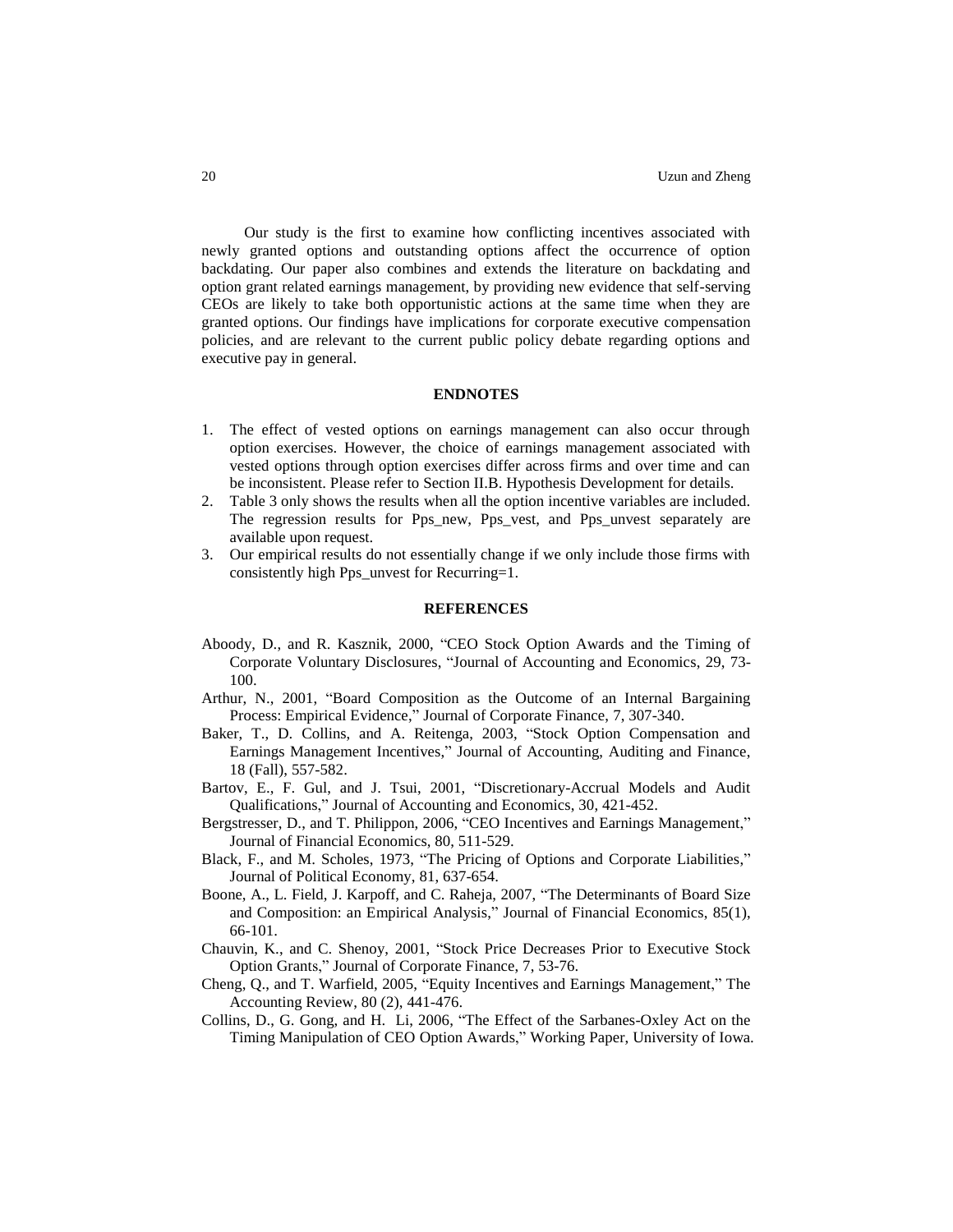Our study is the first to examine how conflicting incentives associated with newly granted options and outstanding options affect the occurrence of option backdating. Our paper also combines and extends the literature on backdating and option grant related earnings management, by providing new evidence that self-serving CEOs are likely to take both opportunistic actions at the same time when they are granted options. Our findings have implications for corporate executive compensation policies, and are relevant to the current public policy debate regarding options and executive pay in general.

### **ENDNOTES**

- 1. The effect of vested options on earnings management can also occur through option exercises. However, the choice of earnings management associated with vested options through option exercises differ across firms and over time and can be inconsistent. Please refer to Section II.B. Hypothesis Development for details.
- 2. Table 3 only shows the results when all the option incentive variables are included. The regression results for Pps\_new, Pps\_vest, and Pps\_unvest separately are available upon request.
- 3. Our empirical results do not essentially change if we only include those firms with consistently high Pps\_unvest for Recurring=1.

#### **REFERENCES**

- Aboody, D., and R. Kasznik, 2000, "CEO Stock Option Awards and the Timing of Corporate Voluntary Disclosures, "Journal of Accounting and Economics, 29, 73- 100.
- Arthur, N., 2001, "Board Composition as the Outcome of an Internal Bargaining Process: Empirical Evidence," Journal of Corporate Finance, 7, 307-340.
- Baker, T., D. Collins, and A. Reitenga, 2003, "Stock Option Compensation and Earnings Management Incentives," Journal of Accounting, Auditing and Finance, 18 (Fall), 557-582.
- Bartov, E., F. Gul, and J. Tsui, 2001, "Discretionary-Accrual Models and Audit Qualifications," Journal of Accounting and Economics, 30, 421-452.
- Bergstresser, D., and T. Philippon, 2006, "CEO Incentives and Earnings Management," Journal of Financial Economics, 80, 511-529.
- Black, F., and M. Scholes, 1973, "The Pricing of Options and Corporate Liabilities," Journal of Political Economy, 81, 637-654.
- Boone, A., L. Field, J. Karpoff, and C. Raheja, 2007, "The Determinants of Board Size and Composition: an Empirical Analysis," Journal of Financial Economics, 85(1), 66-101.
- Chauvin, K., and C. Shenoy, 2001, "Stock Price Decreases Prior to Executive Stock Option Grants," Journal of Corporate Finance, 7, 53-76.
- Cheng, Q., and T. Warfield, 2005, "Equity Incentives and Earnings Management," The Accounting Review, 80 (2), 441-476.
- Collins, D., G. Gong, and H. Li, 2006, "The Effect of the Sarbanes-Oxley Act on the Timing Manipulation of CEO Option Awards," Working Paper, University of Iowa.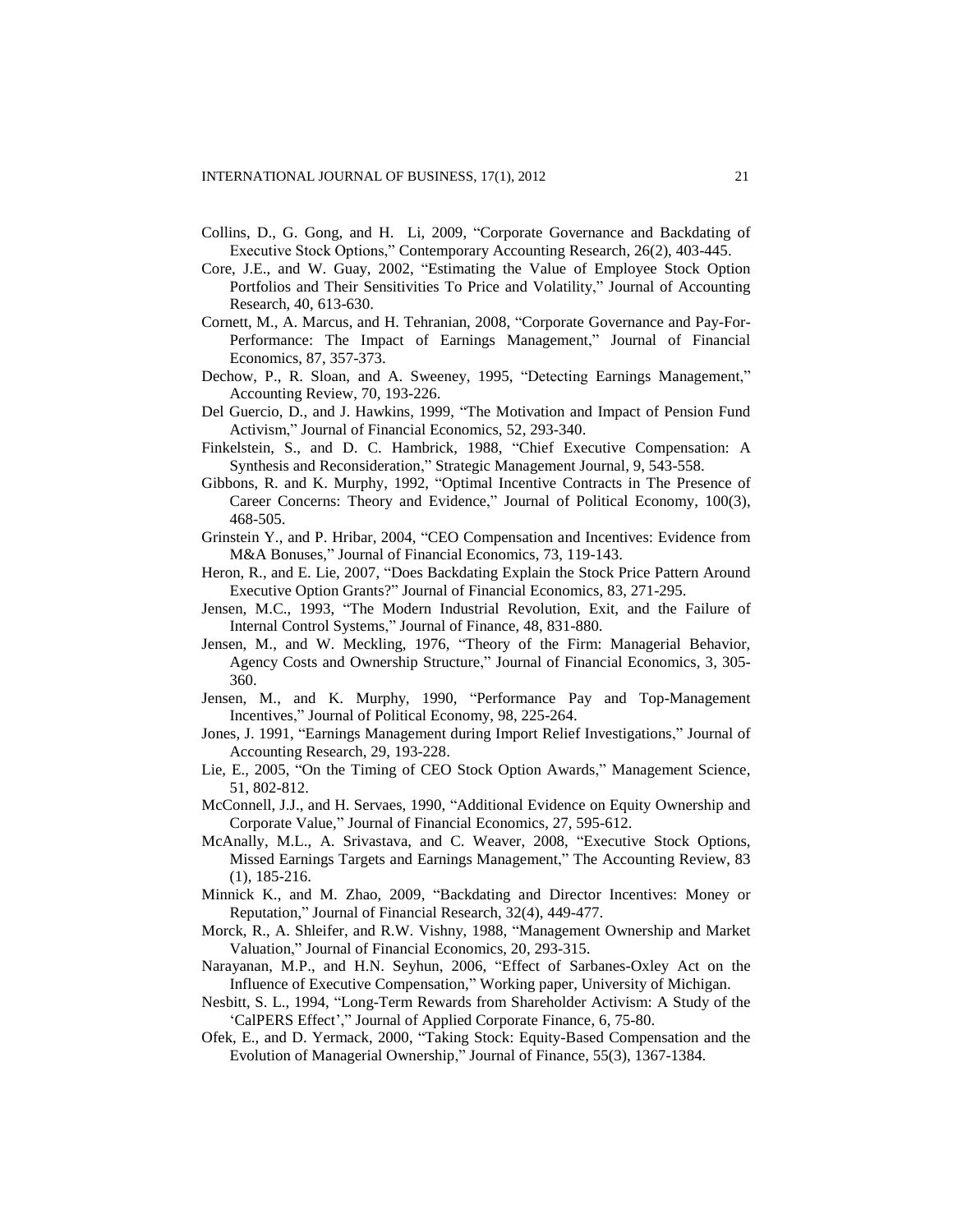- Collins, D., G. Gong, and H. Li, 2009, "Corporate Governance and Backdating of Executive Stock Options," Contemporary Accounting Research, 26(2), 403-445.
- Core, J.E., and W. Guay, 2002, "Estimating the Value of Employee Stock Option Portfolios and Their Sensitivities To Price and Volatility," Journal of Accounting Research, 40, 613-630.
- Cornett, M., A. Marcus, and H. Tehranian, 2008, "Corporate Governance and Pay-For-Performance: The Impact of Earnings Management," Journal of Financial Economics, 87, 357-373.
- Dechow, P., R. Sloan, and A. Sweeney, 1995, "Detecting Earnings Management," Accounting Review, 70, 193-226.
- Del Guercio, D., and J. Hawkins, 1999, "The Motivation and Impact of Pension Fund Activism," Journal of Financial Economics, 52, 293-340.
- Finkelstein, S., and D. C. Hambrick, 1988, "Chief Executive Compensation: A Synthesis and Reconsideration," Strategic Management Journal, 9, 543-558.
- Gibbons, R. and K. Murphy, 1992, "Optimal Incentive Contracts in The Presence of Career Concerns: Theory and Evidence," Journal of Political Economy, 100(3), 468-505.
- Grinstein Y., and P. Hribar, 2004, "CEO Compensation and Incentives: Evidence from M&A Bonuses," Journal of Financial Economics, 73, 119-143.
- Heron, R., and E. Lie, 2007, "Does Backdating Explain the Stock Price Pattern Around Executive Option Grants?" Journal of Financial Economics, 83, 271-295.
- Jensen, M.C., 1993, "The Modern Industrial Revolution, Exit, and the Failure of Internal Control Systems," Journal of Finance, 48, 831-880.
- Jensen, M., and W. Meckling, 1976, "Theory of the Firm: Managerial Behavior, Agency Costs and Ownership Structure," Journal of Financial Economics, 3, 305- 360.
- Jensen, M., and K. Murphy, 1990, "Performance Pay and Top-Management Incentives," Journal of Political Economy, 98, 225-264.
- Jones, J. 1991, "Earnings Management during Import Relief Investigations," Journal of Accounting Research, 29, 193-228.
- Lie, E., 2005, "On the Timing of CEO Stock Option Awards," Management Science, 51, 802-812.
- McConnell, J.J., and H. Servaes, 1990, "Additional Evidence on Equity Ownership and Corporate Value," Journal of Financial Economics, 27, 595-612.
- McAnally, M.L., A. Srivastava, and C. Weaver, 2008, "Executive Stock Options, Missed Earnings Targets and Earnings Management," The Accounting Review, 83 (1), 185-216.
- Minnick K., and M. Zhao, 2009, "Backdating and Director Incentives: Money or Reputation," Journal of Financial Research, 32(4), 449-477.
- Morck, R., A. Shleifer, and R.W. Vishny, 1988, "Management Ownership and Market Valuation," Journal of Financial Economics, 20, 293-315.
- Narayanan, M.P., and H.N. Seyhun, 2006, "Effect of Sarbanes-Oxley Act on the Influence of Executive Compensation," Working paper, University of Michigan.
- Nesbitt, S. L., 1994, "Long-Term Rewards from Shareholder Activism: A Study of the 'CalPERS Effect'," Journal of Applied Corporate Finance, 6, 75-80.
- Ofek, E., and D. Yermack, 2000, "Taking Stock: Equity-Based Compensation and the Evolution of Managerial Ownership," Journal of Finance, 55(3), 1367-1384.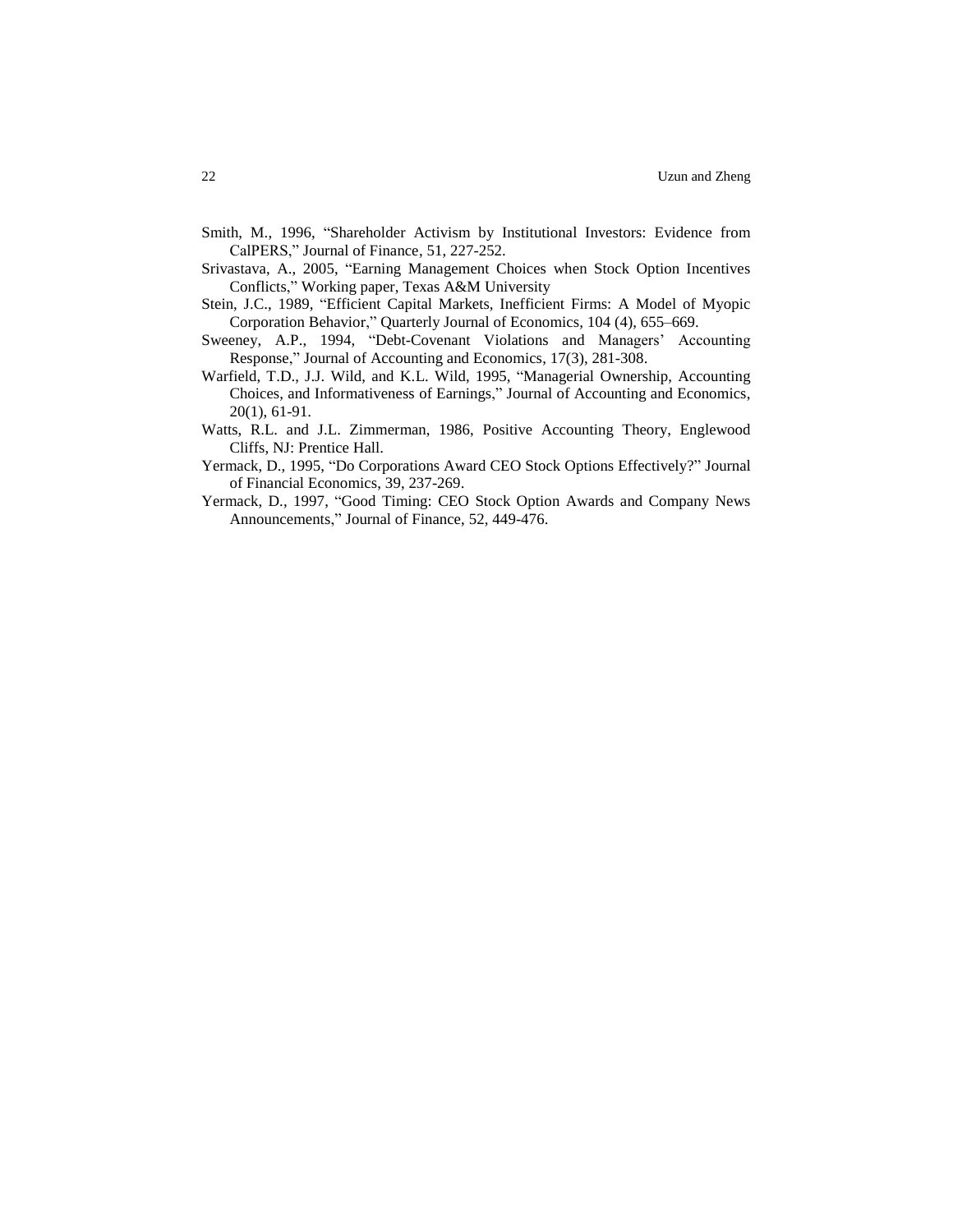- Smith, M., 1996, "Shareholder Activism by Institutional Investors: Evidence from CalPERS," Journal of Finance, 51, 227-252.
- Srivastava, A., 2005, "Earning Management Choices when Stock Option Incentives Conflicts," Working paper, Texas A&M University
- Stein, J.C., 1989, "Efficient Capital Markets, Inefficient Firms: A Model of Myopic Corporation Behavior," Quarterly Journal of Economics, 104 (4), 655–669.
- Sweeney, A.P., 1994, "Debt-Covenant Violations and Managers' Accounting Response," Journal of Accounting and Economics, 17(3), 281-308.
- Warfield, T.D., J.J. Wild, and K.L. Wild, 1995, "Managerial Ownership, Accounting Choices, and Informativeness of Earnings," Journal of Accounting and Economics, 20(1), 61-91.
- Watts, R.L. and J.L. Zimmerman, 1986, Positive Accounting Theory, Englewood Cliffs, NJ: Prentice Hall.
- Yermack, D., 1995, "Do Corporations Award CEO Stock Options Effectively?" Journal of Financial Economics, 39, 237-269.
- Yermack, D., 1997, "Good Timing: CEO Stock Option Awards and Company News Announcements," Journal of Finance, 52, 449-476.